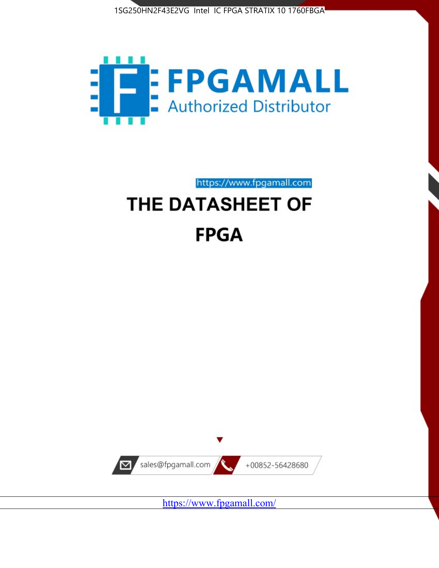



https://www.fpgamall.com

# THE DATASHEET OF **FPGA**



<https://www.fpgamall.com/>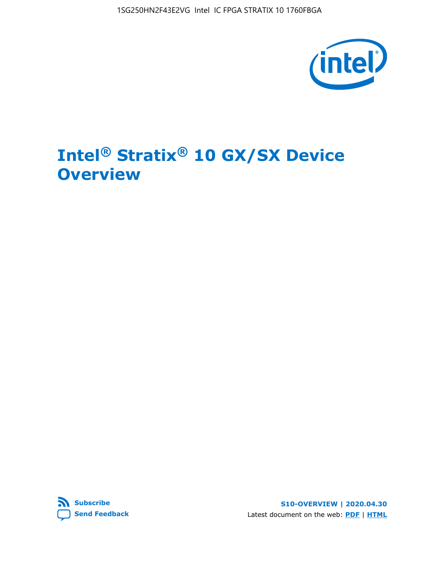1SG250HN2F43E2VG Intel IC FPGA STRATIX 10 1760FBGA



# **Intel® Stratix® 10 GX/SX Device Overview**



**S10-OVERVIEW | 2020.04.30** Latest document on the web: **[PDF](https://www.intel.com/content/dam/www/programmable/us/en/pdfs/literature/hb/stratix-10/s10-overview.pdf)** | **[HTML](https://www.intel.com/content/www/us/en/programmable/documentation/joc1442261161666.html)**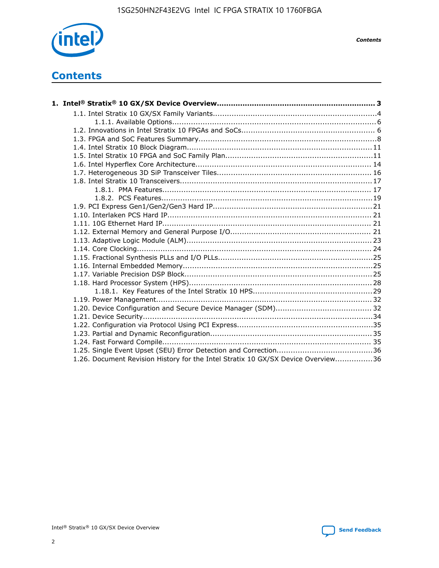

*Contents*

# **Contents**

| 1.26. Document Revision History for the Intel Stratix 10 GX/SX Device Overview36 |  |
|----------------------------------------------------------------------------------|--|

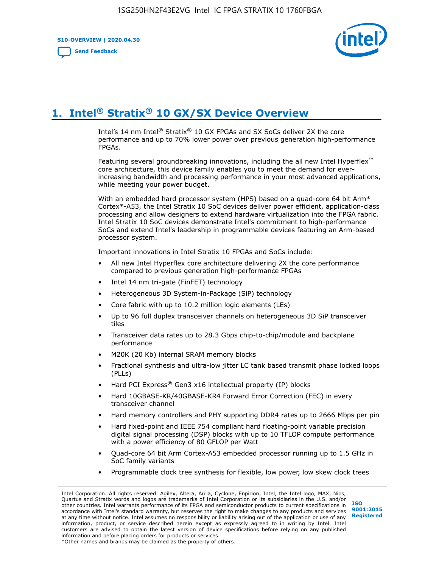**S10-OVERVIEW | 2020.04.30**

**[Send Feedback](mailto:FPGAtechdocfeedback@intel.com?subject=Feedback%20on%20Intel%20Stratix%2010%20GX/SX%20Device%20Overview%20(S10-OVERVIEW%202020.04.30)&body=We%20appreciate%20your%20feedback.%20In%20your%20comments,%20also%20specify%20the%20page%20number%20or%20paragraph.%20Thank%20you.)**



# **1. Intel® Stratix® 10 GX/SX Device Overview**

Intel's 14 nm Intel® Stratix® 10 GX FPGAs and SX SoCs deliver 2X the core performance and up to 70% lower power over previous generation high-performance FPGAs.

Featuring several groundbreaking innovations, including the all new Intel Hyperflex™ core architecture, this device family enables you to meet the demand for everincreasing bandwidth and processing performance in your most advanced applications, while meeting your power budget.

With an embedded hard processor system (HPS) based on a quad-core 64 bit Arm\* Cortex\*-A53, the Intel Stratix 10 SoC devices deliver power efficient, application-class processing and allow designers to extend hardware virtualization into the FPGA fabric. Intel Stratix 10 SoC devices demonstrate Intel's commitment to high-performance SoCs and extend Intel's leadership in programmable devices featuring an Arm-based processor system.

Important innovations in Intel Stratix 10 FPGAs and SoCs include:

- All new Intel Hyperflex core architecture delivering 2X the core performance compared to previous generation high-performance FPGAs
- Intel 14 nm tri-gate (FinFET) technology
- Heterogeneous 3D System-in-Package (SiP) technology
- Core fabric with up to 10.2 million logic elements (LEs)
- Up to 96 full duplex transceiver channels on heterogeneous 3D SiP transceiver tiles
- Transceiver data rates up to 28.3 Gbps chip-to-chip/module and backplane performance
- M20K (20 Kb) internal SRAM memory blocks
- Fractional synthesis and ultra-low jitter LC tank based transmit phase locked loops (PLLs)
- Hard PCI Express<sup>®</sup> Gen3 x16 intellectual property (IP) blocks
- Hard 10GBASE-KR/40GBASE-KR4 Forward Error Correction (FEC) in every transceiver channel
- Hard memory controllers and PHY supporting DDR4 rates up to 2666 Mbps per pin
- Hard fixed-point and IEEE 754 compliant hard floating-point variable precision digital signal processing (DSP) blocks with up to 10 TFLOP compute performance with a power efficiency of 80 GFLOP per Watt
- Quad-core 64 bit Arm Cortex-A53 embedded processor running up to 1.5 GHz in SoC family variants
- Programmable clock tree synthesis for flexible, low power, low skew clock trees

Intel Corporation. All rights reserved. Agilex, Altera, Arria, Cyclone, Enpirion, Intel, the Intel logo, MAX, Nios, Quartus and Stratix words and logos are trademarks of Intel Corporation or its subsidiaries in the U.S. and/or other countries. Intel warrants performance of its FPGA and semiconductor products to current specifications in accordance with Intel's standard warranty, but reserves the right to make changes to any products and services at any time without notice. Intel assumes no responsibility or liability arising out of the application or use of any information, product, or service described herein except as expressly agreed to in writing by Intel. Intel customers are advised to obtain the latest version of device specifications before relying on any published information and before placing orders for products or services. \*Other names and brands may be claimed as the property of others.

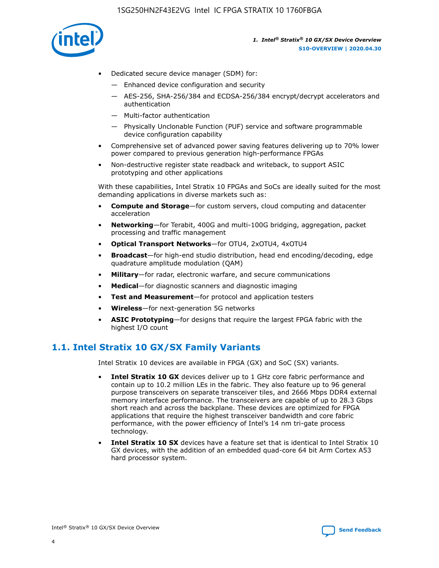

- Dedicated secure device manager (SDM) for:
	- Enhanced device configuration and security
	- AES-256, SHA-256/384 and ECDSA-256/384 encrypt/decrypt accelerators and authentication
	- Multi-factor authentication
	- Physically Unclonable Function (PUF) service and software programmable device configuration capability
- Comprehensive set of advanced power saving features delivering up to 70% lower power compared to previous generation high-performance FPGAs
- Non-destructive register state readback and writeback, to support ASIC prototyping and other applications

With these capabilities, Intel Stratix 10 FPGAs and SoCs are ideally suited for the most demanding applications in diverse markets such as:

- **Compute and Storage**—for custom servers, cloud computing and datacenter acceleration
- **Networking**—for Terabit, 400G and multi-100G bridging, aggregation, packet processing and traffic management
- **Optical Transport Networks**—for OTU4, 2xOTU4, 4xOTU4
- **Broadcast**—for high-end studio distribution, head end encoding/decoding, edge quadrature amplitude modulation (QAM)
- **Military**—for radar, electronic warfare, and secure communications
- **Medical**—for diagnostic scanners and diagnostic imaging
- **Test and Measurement**—for protocol and application testers
- **Wireless**—for next-generation 5G networks
- **ASIC Prototyping**—for designs that require the largest FPGA fabric with the highest I/O count

## **1.1. Intel Stratix 10 GX/SX Family Variants**

Intel Stratix 10 devices are available in FPGA (GX) and SoC (SX) variants.

- **Intel Stratix 10 GX** devices deliver up to 1 GHz core fabric performance and contain up to 10.2 million LEs in the fabric. They also feature up to 96 general purpose transceivers on separate transceiver tiles, and 2666 Mbps DDR4 external memory interface performance. The transceivers are capable of up to 28.3 Gbps short reach and across the backplane. These devices are optimized for FPGA applications that require the highest transceiver bandwidth and core fabric performance, with the power efficiency of Intel's 14 nm tri-gate process technology.
- **Intel Stratix 10 SX** devices have a feature set that is identical to Intel Stratix 10 GX devices, with the addition of an embedded quad-core 64 bit Arm Cortex A53 hard processor system.

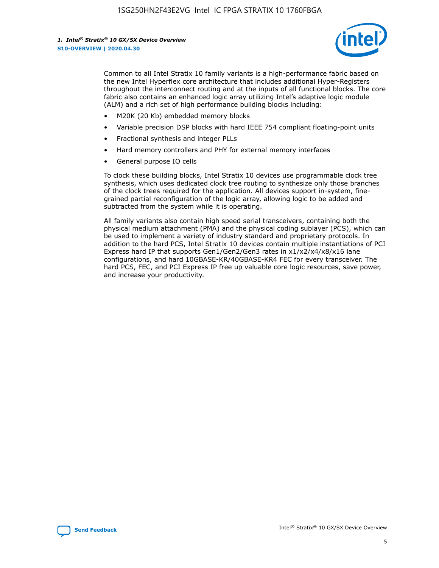

Common to all Intel Stratix 10 family variants is a high-performance fabric based on the new Intel Hyperflex core architecture that includes additional Hyper-Registers throughout the interconnect routing and at the inputs of all functional blocks. The core fabric also contains an enhanced logic array utilizing Intel's adaptive logic module (ALM) and a rich set of high performance building blocks including:

- M20K (20 Kb) embedded memory blocks
- Variable precision DSP blocks with hard IEEE 754 compliant floating-point units
- Fractional synthesis and integer PLLs
- Hard memory controllers and PHY for external memory interfaces
- General purpose IO cells

To clock these building blocks, Intel Stratix 10 devices use programmable clock tree synthesis, which uses dedicated clock tree routing to synthesize only those branches of the clock trees required for the application. All devices support in-system, finegrained partial reconfiguration of the logic array, allowing logic to be added and subtracted from the system while it is operating.

All family variants also contain high speed serial transceivers, containing both the physical medium attachment (PMA) and the physical coding sublayer (PCS), which can be used to implement a variety of industry standard and proprietary protocols. In addition to the hard PCS, Intel Stratix 10 devices contain multiple instantiations of PCI Express hard IP that supports Gen1/Gen2/Gen3 rates in x1/x2/x4/x8/x16 lane configurations, and hard 10GBASE-KR/40GBASE-KR4 FEC for every transceiver. The hard PCS, FEC, and PCI Express IP free up valuable core logic resources, save power, and increase your productivity.

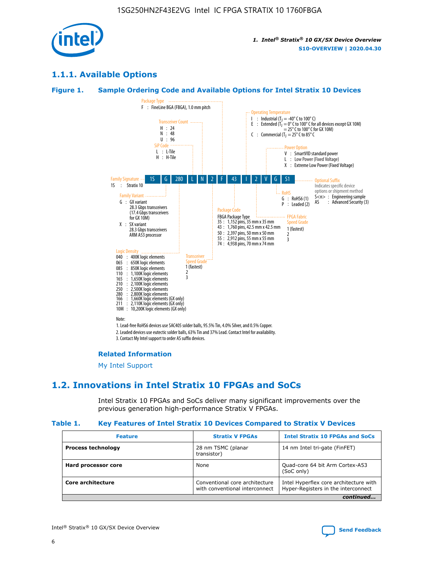

## **1.1.1. Available Options**

### **Figure 1. Sample Ordering Code and Available Options for Intel Stratix 10 Devices**



## **Related Information**

[My Intel Support](https://www.intel.com/content/www/us/en/programmable/my-intel/mal-home.html)

## **1.2. Innovations in Intel Stratix 10 FPGAs and SoCs**

Intel Stratix 10 FPGAs and SoCs deliver many significant improvements over the previous generation high-performance Stratix V FPGAs.

#### **Table 1. Key Features of Intel Stratix 10 Devices Compared to Stratix V Devices**

| <b>Feature</b>            | <b>Stratix V FPGAs</b>                                           | <b>Intel Stratix 10 FPGAs and SoCs</b>                                        |  |
|---------------------------|------------------------------------------------------------------|-------------------------------------------------------------------------------|--|
| <b>Process technology</b> | 28 nm TSMC (planar<br>transistor)                                | 14 nm Intel tri-gate (FinFET)                                                 |  |
| Hard processor core       | None                                                             | Quad-core 64 bit Arm Cortex-A53<br>(SoC only)                                 |  |
| Core architecture         | Conventional core architecture<br>with conventional interconnect | Intel Hyperflex core architecture with<br>Hyper-Registers in the interconnect |  |
|                           |                                                                  | continued                                                                     |  |

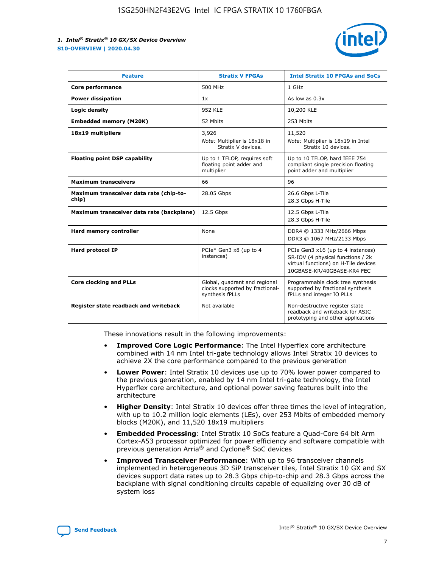

| <b>Feature</b>                                   | <b>Stratix V FPGAs</b>                                                              | <b>Intel Stratix 10 FPGAs and SoCs</b>                                                                                                       |
|--------------------------------------------------|-------------------------------------------------------------------------------------|----------------------------------------------------------------------------------------------------------------------------------------------|
| Core performance                                 | 500 MHz                                                                             | 1 GHz                                                                                                                                        |
| <b>Power dissipation</b>                         | 1x                                                                                  | As low as $0.3x$                                                                                                                             |
| Logic density                                    | <b>952 KLE</b>                                                                      | 10,200 KLE                                                                                                                                   |
| <b>Embedded memory (M20K)</b>                    | 52 Mbits                                                                            | 253 Mbits                                                                                                                                    |
| 18x19 multipliers                                | 3,926                                                                               | 11,520                                                                                                                                       |
|                                                  | Note: Multiplier is 18x18 in<br>Stratix V devices.                                  | Note: Multiplier is 18x19 in Intel<br>Stratix 10 devices.                                                                                    |
| <b>Floating point DSP capability</b>             | Up to 1 TFLOP, requires soft<br>floating point adder and<br>multiplier              | Up to 10 TFLOP, hard IEEE 754<br>compliant single precision floating<br>point adder and multiplier                                           |
| <b>Maximum transceivers</b>                      | 66                                                                                  | 96                                                                                                                                           |
| Maximum transceiver data rate (chip-to-<br>chip) | 28.05 Gbps                                                                          | 26.6 Gbps L-Tile<br>28.3 Gbps H-Tile                                                                                                         |
| Maximum transceiver data rate (backplane)        | 12.5 Gbps                                                                           | 12.5 Gbps L-Tile<br>28.3 Gbps H-Tile                                                                                                         |
| Hard memory controller                           | None                                                                                | DDR4 @ 1333 MHz/2666 Mbps<br>DDR3 @ 1067 MHz/2133 Mbps                                                                                       |
| <b>Hard protocol IP</b>                          | PCIe* Gen3 x8 (up to 4<br>instances)                                                | PCIe Gen3 x16 (up to 4 instances)<br>SR-IOV (4 physical functions / 2k<br>virtual functions) on H-Tile devices<br>10GBASE-KR/40GBASE-KR4 FEC |
| <b>Core clocking and PLLs</b>                    | Global, quadrant and regional<br>clocks supported by fractional-<br>synthesis fPLLs | Programmable clock tree synthesis<br>supported by fractional synthesis<br>fPLLs and integer IO PLLs                                          |
| Register state readback and writeback            | Not available                                                                       | Non-destructive register state<br>readback and writeback for ASIC<br>prototyping and other applications                                      |

These innovations result in the following improvements:

- **Improved Core Logic Performance**: The Intel Hyperflex core architecture combined with 14 nm Intel tri-gate technology allows Intel Stratix 10 devices to achieve 2X the core performance compared to the previous generation
- **Lower Power**: Intel Stratix 10 devices use up to 70% lower power compared to the previous generation, enabled by 14 nm Intel tri-gate technology, the Intel Hyperflex core architecture, and optional power saving features built into the architecture
- **Higher Density**: Intel Stratix 10 devices offer three times the level of integration, with up to 10.2 million logic elements (LEs), over 253 Mbits of embedded memory blocks (M20K), and 11,520 18x19 multipliers
- **Embedded Processing**: Intel Stratix 10 SoCs feature a Quad-Core 64 bit Arm Cortex-A53 processor optimized for power efficiency and software compatible with previous generation Arria® and Cyclone® SoC devices
- **Improved Transceiver Performance**: With up to 96 transceiver channels implemented in heterogeneous 3D SiP transceiver tiles, Intel Stratix 10 GX and SX devices support data rates up to 28.3 Gbps chip-to-chip and 28.3 Gbps across the backplane with signal conditioning circuits capable of equalizing over 30 dB of system loss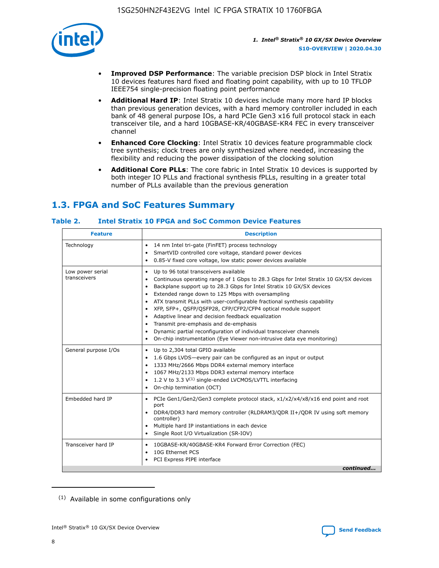

- **Improved DSP Performance**: The variable precision DSP block in Intel Stratix 10 devices features hard fixed and floating point capability, with up to 10 TFLOP IEEE754 single-precision floating point performance
- **Additional Hard IP**: Intel Stratix 10 devices include many more hard IP blocks than previous generation devices, with a hard memory controller included in each bank of 48 general purpose IOs, a hard PCIe Gen3 x16 full protocol stack in each transceiver tile, and a hard 10GBASE-KR/40GBASE-KR4 FEC in every transceiver channel
- **Enhanced Core Clocking**: Intel Stratix 10 devices feature programmable clock tree synthesis; clock trees are only synthesized where needed, increasing the flexibility and reducing the power dissipation of the clocking solution
- **Additional Core PLLs**: The core fabric in Intel Stratix 10 devices is supported by both integer IO PLLs and fractional synthesis fPLLs, resulting in a greater total number of PLLs available than the previous generation

## **1.3. FPGA and SoC Features Summary**

## **Table 2. Intel Stratix 10 FPGA and SoC Common Device Features**

| <b>Feature</b>                   | <b>Description</b>                                                                                                                                                                                                                                                                                                                                                                                                                                                                                                                                                                                                                                                                                                                                   |
|----------------------------------|------------------------------------------------------------------------------------------------------------------------------------------------------------------------------------------------------------------------------------------------------------------------------------------------------------------------------------------------------------------------------------------------------------------------------------------------------------------------------------------------------------------------------------------------------------------------------------------------------------------------------------------------------------------------------------------------------------------------------------------------------|
| Technology                       | 14 nm Intel tri-gate (FinFET) process technology<br>٠<br>SmartVID controlled core voltage, standard power devices<br>0.85-V fixed core voltage, low static power devices available                                                                                                                                                                                                                                                                                                                                                                                                                                                                                                                                                                   |
| Low power serial<br>transceivers | Up to 96 total transceivers available<br>$\bullet$<br>Continuous operating range of 1 Gbps to 28.3 Gbps for Intel Stratix 10 GX/SX devices<br>$\bullet$<br>Backplane support up to 28.3 Gbps for Intel Stratix 10 GX/SX devices<br>$\bullet$<br>Extended range down to 125 Mbps with oversampling<br>$\bullet$<br>ATX transmit PLLs with user-configurable fractional synthesis capability<br>$\bullet$<br>• XFP, SFP+, OSFP/OSFP28, CFP/CFP2/CFP4 optical module support<br>• Adaptive linear and decision feedback equalization<br>Transmit pre-emphasis and de-emphasis<br>Dynamic partial reconfiguration of individual transceiver channels<br>$\bullet$<br>On-chip instrumentation (Eye Viewer non-intrusive data eye monitoring)<br>$\bullet$ |
| General purpose I/Os             | Up to 2,304 total GPIO available<br>$\bullet$<br>1.6 Gbps LVDS-every pair can be configured as an input or output<br>$\bullet$<br>1333 MHz/2666 Mbps DDR4 external memory interface<br>1067 MHz/2133 Mbps DDR3 external memory interface<br>1.2 V to 3.3 $V^{(1)}$ single-ended LVCMOS/LVTTL interfacing<br>$\bullet$<br>On-chip termination (OCT)<br>$\bullet$                                                                                                                                                                                                                                                                                                                                                                                      |
| Embedded hard IP                 | • PCIe Gen1/Gen2/Gen3 complete protocol stack, $x1/x2/x4/x8/x16$ end point and root<br>port<br>DDR4/DDR3 hard memory controller (RLDRAM3/QDR II+/QDR IV using soft memory<br>controller)<br>Multiple hard IP instantiations in each device<br>$\bullet$<br>• Single Root I/O Virtualization (SR-IOV)                                                                                                                                                                                                                                                                                                                                                                                                                                                 |
| Transceiver hard IP              | 10GBASE-KR/40GBASE-KR4 Forward Error Correction (FEC)<br>$\bullet$<br>10G Ethernet PCS<br>$\bullet$<br>• PCI Express PIPE interface<br>continued                                                                                                                                                                                                                                                                                                                                                                                                                                                                                                                                                                                                     |

<sup>(1)</sup> Available in some configurations only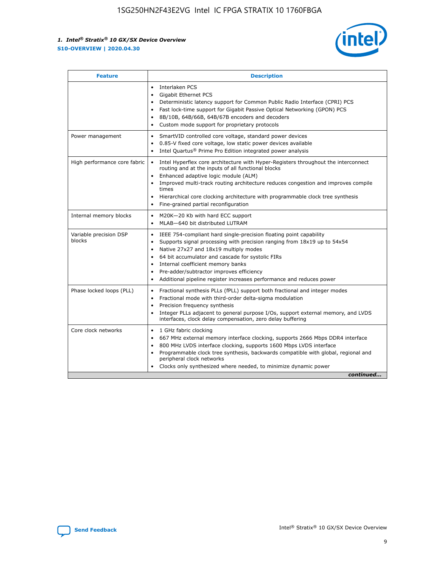

| <b>Feature</b>                   | <b>Description</b>                                                                                                                                                                                                                                                                                                                                                                                                                                                    |
|----------------------------------|-----------------------------------------------------------------------------------------------------------------------------------------------------------------------------------------------------------------------------------------------------------------------------------------------------------------------------------------------------------------------------------------------------------------------------------------------------------------------|
|                                  | Interlaken PCS<br>$\bullet$<br>Gigabit Ethernet PCS<br>$\bullet$<br>Deterministic latency support for Common Public Radio Interface (CPRI) PCS<br>$\bullet$<br>Fast lock-time support for Gigabit Passive Optical Networking (GPON) PCS<br>$\bullet$<br>8B/10B, 64B/66B, 64B/67B encoders and decoders<br>$\bullet$<br>Custom mode support for proprietary protocols<br>$\bullet$                                                                                     |
| Power management                 | SmartVID controlled core voltage, standard power devices<br>$\bullet$<br>0.85-V fixed core voltage, low static power devices available<br>$\bullet$<br>Intel Quartus <sup>®</sup> Prime Pro Edition integrated power analysis<br>$\bullet$                                                                                                                                                                                                                            |
| High performance core fabric     | Intel Hyperflex core architecture with Hyper-Registers throughout the interconnect<br>$\bullet$<br>routing and at the inputs of all functional blocks<br>Enhanced adaptive logic module (ALM)<br>$\bullet$<br>Improved multi-track routing architecture reduces congestion and improves compile<br>times<br>Hierarchical core clocking architecture with programmable clock tree synthesis<br>Fine-grained partial reconfiguration                                    |
| Internal memory blocks           | M20K-20 Kb with hard ECC support<br>٠<br>MLAB-640 bit distributed LUTRAM<br>$\bullet$                                                                                                                                                                                                                                                                                                                                                                                 |
| Variable precision DSP<br>blocks | IEEE 754-compliant hard single-precision floating point capability<br>$\bullet$<br>Supports signal processing with precision ranging from 18x19 up to 54x54<br>$\bullet$<br>Native 27x27 and 18x19 multiply modes<br>$\bullet$<br>64 bit accumulator and cascade for systolic FIRs<br>Internal coefficient memory banks<br>Pre-adder/subtractor improves efficiency<br>$\bullet$<br>Additional pipeline register increases performance and reduces power<br>$\bullet$ |
| Phase locked loops (PLL)         | Fractional synthesis PLLs (fPLL) support both fractional and integer modes<br>$\bullet$<br>Fractional mode with third-order delta-sigma modulation<br>Precision frequency synthesis<br>$\bullet$<br>Integer PLLs adjacent to general purpose I/Os, support external memory, and LVDS<br>$\bullet$<br>interfaces, clock delay compensation, zero delay buffering                                                                                                       |
| Core clock networks              | 1 GHz fabric clocking<br>$\bullet$<br>667 MHz external memory interface clocking, supports 2666 Mbps DDR4 interface<br>$\bullet$<br>800 MHz LVDS interface clocking, supports 1600 Mbps LVDS interface<br>$\bullet$<br>Programmable clock tree synthesis, backwards compatible with global, regional and<br>$\bullet$<br>peripheral clock networks<br>Clocks only synthesized where needed, to minimize dynamic power<br>continued                                    |

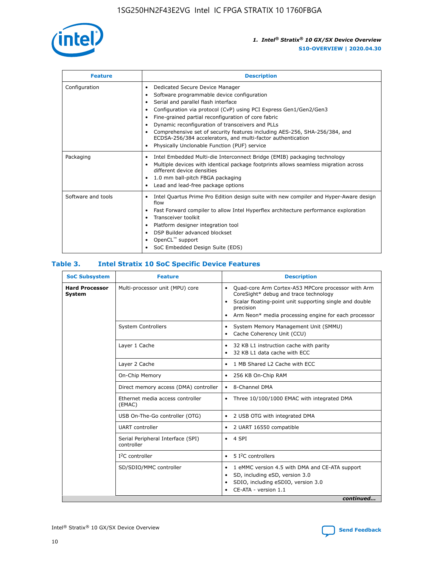

| <b>Feature</b>     | <b>Description</b>                                                                                                                                                                                                                                                                                                                                                                                                                                                                                               |  |  |  |
|--------------------|------------------------------------------------------------------------------------------------------------------------------------------------------------------------------------------------------------------------------------------------------------------------------------------------------------------------------------------------------------------------------------------------------------------------------------------------------------------------------------------------------------------|--|--|--|
| Configuration      | Dedicated Secure Device Manager<br>٠<br>Software programmable device configuration<br>Serial and parallel flash interface<br>Configuration via protocol (CvP) using PCI Express Gen1/Gen2/Gen3<br>Fine-grained partial reconfiguration of core fabric<br>٠<br>Dynamic reconfiguration of transceivers and PLLs<br>٠<br>Comprehensive set of security features including AES-256, SHA-256/384, and<br>ECDSA-256/384 accelerators, and multi-factor authentication<br>Physically Unclonable Function (PUF) service |  |  |  |
| Packaging          | Intel Embedded Multi-die Interconnect Bridge (EMIB) packaging technology<br>٠<br>Multiple devices with identical package footprints allows seamless migration across<br>$\bullet$<br>different device densities<br>1.0 mm ball-pitch FBGA packaging<br>٠<br>Lead and lead-free package options                                                                                                                                                                                                                   |  |  |  |
| Software and tools | Intel Quartus Prime Pro Edition design suite with new compiler and Hyper-Aware design<br>$\bullet$<br>flow<br>Fast Forward compiler to allow Intel Hyperflex architecture performance exploration<br>٠<br>Transceiver toolkit<br>Platform designer integration tool<br>DSP Builder advanced blockset<br>OpenCL <sup>™</sup> support<br>SoC Embedded Design Suite (EDS)                                                                                                                                           |  |  |  |

## **Table 3. Intel Stratix 10 SoC Specific Device Features**

| <b>Hard Processor</b> | Multi-processor unit (MPU) core                 |                                                                                                                                                                                                                                                                    |  |  |
|-----------------------|-------------------------------------------------|--------------------------------------------------------------------------------------------------------------------------------------------------------------------------------------------------------------------------------------------------------------------|--|--|
| System                |                                                 | Quad-core Arm Cortex-A53 MPCore processor with Arm<br>$\bullet$<br>CoreSight* debug and trace technology<br>Scalar floating-point unit supporting single and double<br>$\bullet$<br>precision<br>Arm Neon* media processing engine for each processor<br>$\bullet$ |  |  |
|                       | <b>System Controllers</b>                       | System Memory Management Unit (SMMU)<br>٠<br>Cache Coherency Unit (CCU)<br>$\bullet$                                                                                                                                                                               |  |  |
|                       | Layer 1 Cache                                   | 32 KB L1 instruction cache with parity<br>$\bullet$<br>32 KB L1 data cache with ECC<br>$\bullet$                                                                                                                                                                   |  |  |
|                       | Layer 2 Cache                                   | 1 MB Shared L2 Cache with ECC<br>$\bullet$                                                                                                                                                                                                                         |  |  |
|                       | On-Chip Memory                                  | 256 KB On-Chip RAM<br>٠                                                                                                                                                                                                                                            |  |  |
|                       | Direct memory access (DMA) controller           | • 8-Channel DMA                                                                                                                                                                                                                                                    |  |  |
|                       | Ethernet media access controller<br>(EMAC)      | Three 10/100/1000 EMAC with integrated DMA<br>$\bullet$                                                                                                                                                                                                            |  |  |
|                       | USB On-The-Go controller (OTG)                  | 2 USB OTG with integrated DMA<br>٠                                                                                                                                                                                                                                 |  |  |
|                       | <b>UART</b> controller                          | 2 UART 16550 compatible<br>٠                                                                                                                                                                                                                                       |  |  |
|                       | Serial Peripheral Interface (SPI)<br>controller | $\bullet$ 4 SPI                                                                                                                                                                                                                                                    |  |  |
|                       | $I2C$ controller                                | 5 I <sup>2</sup> C controllers<br>$\bullet$                                                                                                                                                                                                                        |  |  |
|                       | SD/SDIO/MMC controller                          | 1 eMMC version 4.5 with DMA and CE-ATA support<br>٠<br>SD, including eSD, version 3.0<br>$\bullet$<br>SDIO, including eSDIO, version 3.0<br>CE-ATA - version 1.1<br>continued                                                                                      |  |  |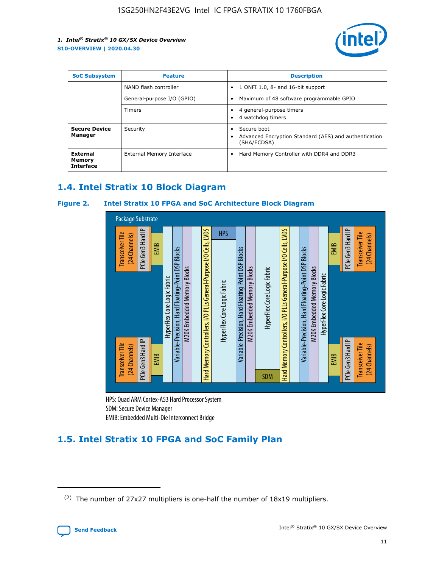

| <b>SoC Subsystem</b>                   | <b>Feature</b>             | <b>Description</b>                                                                               |  |  |
|----------------------------------------|----------------------------|--------------------------------------------------------------------------------------------------|--|--|
|                                        | NAND flash controller      | 1 ONFI 1.0, 8- and 16-bit support<br>$\bullet$                                                   |  |  |
|                                        | General-purpose I/O (GPIO) | Maximum of 48 software programmable GPIO<br>$\bullet$                                            |  |  |
|                                        | <b>Timers</b>              | 4 general-purpose timers<br>4 watchdog timers                                                    |  |  |
| <b>Secure Device</b><br>Manager        | Security                   | Secure boot<br>$\bullet$<br>Advanced Encryption Standard (AES) and authentication<br>(SHA/ECDSA) |  |  |
| External<br>Memory<br><b>Interface</b> | External Memory Interface  | Hard Memory Controller with DDR4 and DDR3<br>$\bullet$                                           |  |  |

## **1.4. Intel Stratix 10 Block Diagram**

## **Figure 2. Intel Stratix 10 FPGA and SoC Architecture Block Diagram**



HPS: Quad ARM Cortex-A53 Hard Processor System SDM: Secure Device Manager

## **1.5. Intel Stratix 10 FPGA and SoC Family Plan**

<sup>(2)</sup> The number of 27x27 multipliers is one-half the number of 18x19 multipliers.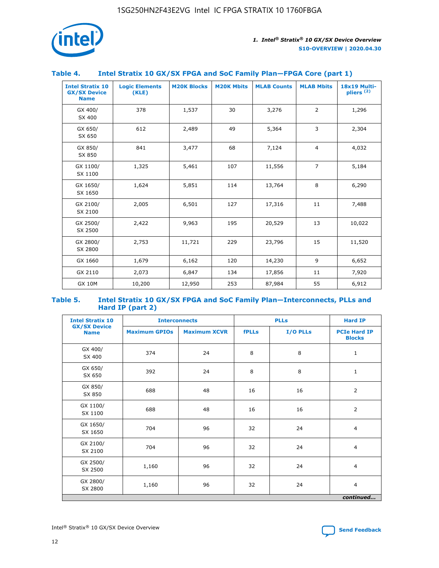

## **Table 4. Intel Stratix 10 GX/SX FPGA and SoC Family Plan—FPGA Core (part 1)**

| <b>Intel Stratix 10</b><br><b>GX/SX Device</b><br><b>Name</b> | <b>Logic Elements</b><br>(KLE) | <b>M20K Blocks</b> | <b>M20K Mbits</b> | <b>MLAB Counts</b> | <b>MLAB Mbits</b> | <b>18x19 Multi-</b><br>pliers <sup>(2)</sup> |
|---------------------------------------------------------------|--------------------------------|--------------------|-------------------|--------------------|-------------------|----------------------------------------------|
| GX 400/<br>SX 400                                             | 378                            | 1,537              | 30                | 3,276              | 2                 | 1,296                                        |
| GX 650/<br>SX 650                                             | 612                            | 2,489              | 49                | 5,364              | 3                 | 2,304                                        |
| GX 850/<br>SX 850                                             | 841                            | 3,477              | 68                | 7,124              | $\overline{4}$    | 4,032                                        |
| GX 1100/<br>SX 1100                                           | 1,325                          | 5,461              | 107               | 11,556             | $\overline{7}$    | 5,184                                        |
| GX 1650/<br>SX 1650                                           | 1,624                          | 5,851              | 114               | 13,764             | 8                 | 6,290                                        |
| GX 2100/<br>SX 2100                                           | 2,005                          | 6,501              | 127               | 17,316             | 11                | 7,488                                        |
| GX 2500/<br>SX 2500                                           | 2,422                          | 9,963              | 195               | 20,529             | 13                | 10,022                                       |
| GX 2800/<br>SX 2800                                           | 2,753                          | 11,721             | 229               | 23,796             | 15                | 11,520                                       |
| GX 1660                                                       | 1,679                          | 6,162              | 120               | 14,230             | 9                 | 6,652                                        |
| GX 2110                                                       | 2,073                          | 6,847              | 134               | 17,856             | 11                | 7,920                                        |
| <b>GX 10M</b>                                                 | 10,200                         | 12,950             | 253               | 87,984             | 55                | 6,912                                        |

#### **Table 5. Intel Stratix 10 GX/SX FPGA and SoC Family Plan—Interconnects, PLLs and Hard IP (part 2)**

| <b>Intel Stratix 10</b>            | <b>Interconnects</b> |                     | <b>PLLs</b>  |          | <b>Hard IP</b>                       |  |
|------------------------------------|----------------------|---------------------|--------------|----------|--------------------------------------|--|
| <b>GX/SX Device</b><br><b>Name</b> | <b>Maximum GPIOs</b> | <b>Maximum XCVR</b> | <b>fPLLs</b> | I/O PLLs | <b>PCIe Hard IP</b><br><b>Blocks</b> |  |
| GX 400/<br>SX 400                  | 374                  | 24                  | 8            | 8        | $\mathbf{1}$                         |  |
| GX 650/<br>SX 650                  | 392                  | 24                  | 8            | 8        | $\mathbf{1}$                         |  |
| GX 850/<br>SX 850                  | 688                  | 48                  | 16           | 16       | 2                                    |  |
| GX 1100/<br>SX 1100                | 688                  | 48                  | 16           | 16       | 2                                    |  |
| GX 1650/<br>SX 1650                | 704                  | 96                  | 32           | 24       | $\overline{4}$                       |  |
| GX 2100/<br>SX 2100                | 704                  | 96                  | 32           | 24       | $\overline{4}$                       |  |
| GX 2500/<br>SX 2500                | 1,160                | 96                  | 32           | 24       | $\overline{4}$                       |  |
| GX 2800/<br>SX 2800                | 1,160                | 96                  | 32           | 24       | $\overline{4}$                       |  |
| continued                          |                      |                     |              |          |                                      |  |

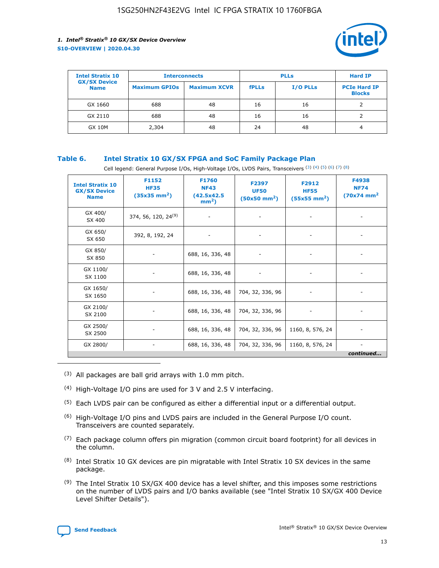

| <b>Intel Stratix 10</b>            | <b>Interconnects</b> |                     |              | <b>Hard IP</b>  |                                      |
|------------------------------------|----------------------|---------------------|--------------|-----------------|--------------------------------------|
| <b>GX/SX Device</b><br><b>Name</b> | <b>Maximum GPIOs</b> | <b>Maximum XCVR</b> | <b>fPLLs</b> | <b>I/O PLLs</b> | <b>PCIe Hard IP</b><br><b>Blocks</b> |
| GX 1660                            | 688                  | 48                  | 16           | 16              |                                      |
| GX 2110                            | 688                  | 48                  | 16           | 16              |                                      |
| <b>GX 10M</b>                      | 2,304                | 48                  | 24           | 48              | 4                                    |

## **Table 6. Intel Stratix 10 GX/SX FPGA and SoC Family Package Plan**

Cell legend: General Purpose I/Os, High-Voltage I/Os, LVDS Pairs, Transceivers (3) (4) (5) (6) (7) (8)

| <b>Intel Stratix 10</b><br><b>GX/SX Device</b><br><b>Name</b> | F1152<br><b>HF35</b><br>$(35x35 \text{ mm}^2)$ | <b>F1760</b><br><b>NF43</b><br>(42.5x42.5<br>$mm2$ ) | F2397<br><b>UF50</b><br>$(50x50 \text{ mm}^2)$ | F2912<br><b>HF55</b><br>$(55x55 \text{ mm}^2)$ | F4938<br><b>NF74</b><br>$(70x74)$ mm <sup>2</sup> |
|---------------------------------------------------------------|------------------------------------------------|------------------------------------------------------|------------------------------------------------|------------------------------------------------|---------------------------------------------------|
| GX 400/<br>SX 400                                             | 374, 56, 120, 24 <sup>(9)</sup>                | $\overline{\phantom{a}}$                             | $\overline{\phantom{a}}$                       |                                                |                                                   |
| GX 650/<br>SX 650                                             | 392, 8, 192, 24                                | ٠                                                    | $\overline{\phantom{a}}$                       |                                                |                                                   |
| GX 850/<br>SX 850                                             |                                                | 688, 16, 336, 48                                     |                                                |                                                |                                                   |
| GX 1100/<br>SX 1100                                           |                                                | 688, 16, 336, 48                                     |                                                |                                                |                                                   |
| GX 1650/<br>SX 1650                                           |                                                | 688, 16, 336, 48                                     | 704, 32, 336, 96                               |                                                |                                                   |
| GX 2100/<br>SX 2100                                           |                                                | 688, 16, 336, 48                                     | 704, 32, 336, 96                               | -                                              | ۰                                                 |
| GX 2500/<br>SX 2500                                           |                                                | 688, 16, 336, 48                                     | 704, 32, 336, 96                               | 1160, 8, 576, 24                               |                                                   |
| GX 2800/                                                      | $\overline{\phantom{a}}$                       | 688, 16, 336, 48                                     | 704, 32, 336, 96                               | 1160, 8, 576, 24                               | ٠<br>continued                                    |

- (3) All packages are ball grid arrays with 1.0 mm pitch.
- (4) High-Voltage I/O pins are used for 3 V and 2.5 V interfacing.
- $(5)$  Each LVDS pair can be configured as either a differential input or a differential output.
- (6) High-Voltage I/O pins and LVDS pairs are included in the General Purpose I/O count. Transceivers are counted separately.
- $(7)$  Each package column offers pin migration (common circuit board footprint) for all devices in the column.
- $(8)$  Intel Stratix 10 GX devices are pin migratable with Intel Stratix 10 SX devices in the same package.
- $(9)$  The Intel Stratix 10 SX/GX 400 device has a level shifter, and this imposes some restrictions on the number of LVDS pairs and I/O banks available (see "Intel Stratix 10 SX/GX 400 Device Level Shifter Details").

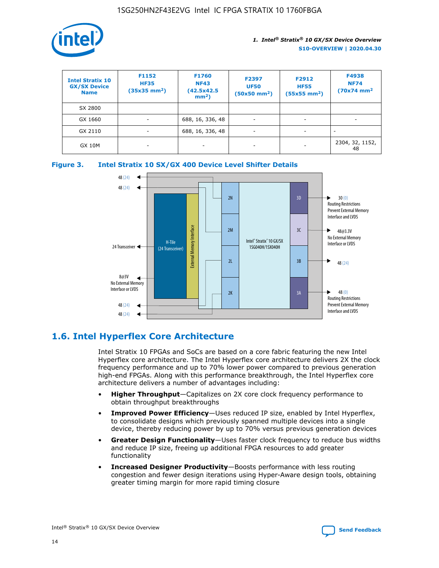

| <b>Intel Stratix 10</b><br><b>GX/SX Device</b><br><b>Name</b> | F1152<br><b>HF35</b><br>$(35x35 \text{ mm}^2)$ | F1760<br><b>NF43</b><br>(42.5x42.5<br>$mm2$ ) | F2397<br><b>UF50</b><br>$(50x50 \text{ mm}^2)$ | F2912<br><b>HF55</b><br>$(55x55$ mm <sup>2</sup> ) | F4938<br><b>NF74</b><br>$(70x74)$ mm <sup>2</sup> |
|---------------------------------------------------------------|------------------------------------------------|-----------------------------------------------|------------------------------------------------|----------------------------------------------------|---------------------------------------------------|
| SX 2800                                                       |                                                |                                               |                                                |                                                    |                                                   |
| GX 1660                                                       | ٠                                              | 688, 16, 336, 48                              | ٠                                              |                                                    |                                                   |
| GX 2110                                                       |                                                | 688, 16, 336, 48                              | $\overline{\phantom{a}}$                       |                                                    |                                                   |
| <b>GX 10M</b>                                                 | ۰                                              | -                                             | -                                              |                                                    | 2304, 32, 1152,<br>48                             |





## **1.6. Intel Hyperflex Core Architecture**

Intel Stratix 10 FPGAs and SoCs are based on a core fabric featuring the new Intel Hyperflex core architecture. The Intel Hyperflex core architecture delivers 2X the clock frequency performance and up to 70% lower power compared to previous generation high-end FPGAs. Along with this performance breakthrough, the Intel Hyperflex core architecture delivers a number of advantages including:

- **Higher Throughput**—Capitalizes on 2X core clock frequency performance to obtain throughput breakthroughs
- **Improved Power Efficiency**—Uses reduced IP size, enabled by Intel Hyperflex, to consolidate designs which previously spanned multiple devices into a single device, thereby reducing power by up to 70% versus previous generation devices
- **Greater Design Functionality**—Uses faster clock frequency to reduce bus widths and reduce IP size, freeing up additional FPGA resources to add greater functionality
- **Increased Designer Productivity**—Boosts performance with less routing congestion and fewer design iterations using Hyper-Aware design tools, obtaining greater timing margin for more rapid timing closure

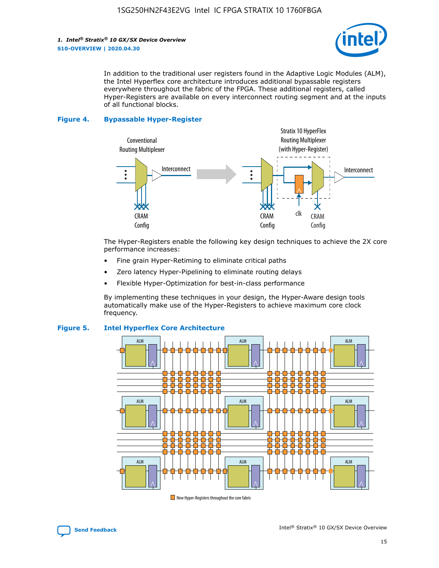

In addition to the traditional user registers found in the Adaptive Logic Modules (ALM), the Intel Hyperflex core architecture introduces additional bypassable registers everywhere throughout the fabric of the FPGA. These additional registers, called Hyper-Registers are available on every interconnect routing segment and at the inputs of all functional blocks.

#### **Figure 4. Bypassable Hyper-Register**



The Hyper-Registers enable the following key design techniques to achieve the 2X core performance increases:

- Fine grain Hyper-Retiming to eliminate critical paths
- Zero latency Hyper-Pipelining to eliminate routing delays
- Flexible Hyper-Optimization for best-in-class performance

By implementing these techniques in your design, the Hyper-Aware design tools automatically make use of the Hyper-Registers to achieve maximum core clock frequency.



## **Figure 5. Intel Hyperflex Core Architecture**

New Hyper-Registers throughout the core fabric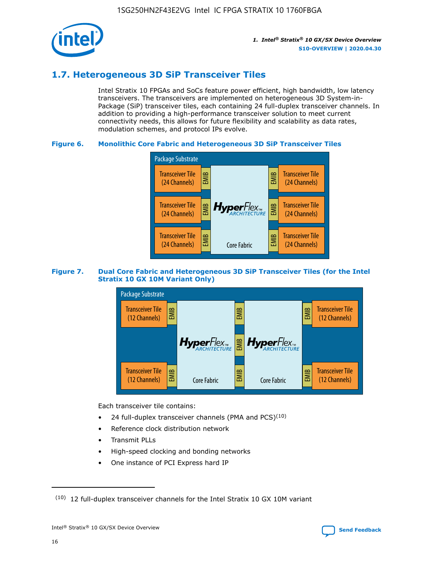

## **1.7. Heterogeneous 3D SiP Transceiver Tiles**

Intel Stratix 10 FPGAs and SoCs feature power efficient, high bandwidth, low latency transceivers. The transceivers are implemented on heterogeneous 3D System-in-Package (SiP) transceiver tiles, each containing 24 full-duplex transceiver channels. In addition to providing a high-performance transceiver solution to meet current connectivity needs, this allows for future flexibility and scalability as data rates, modulation schemes, and protocol IPs evolve.

## **Figure 6. Monolithic Core Fabric and Heterogeneous 3D SiP Transceiver Tiles**



## **Figure 7. Dual Core Fabric and Heterogeneous 3D SiP Transceiver Tiles (for the Intel Stratix 10 GX 10M Variant Only)**



Each transceiver tile contains:

- 24 full-duplex transceiver channels (PMA and PCS) $(10)$
- Reference clock distribution network
- Transmit PLLs
- High-speed clocking and bonding networks
- One instance of PCI Express hard IP

16

 $(10)$  12 full-duplex transceiver channels for the Intel Stratix 10 GX 10M variant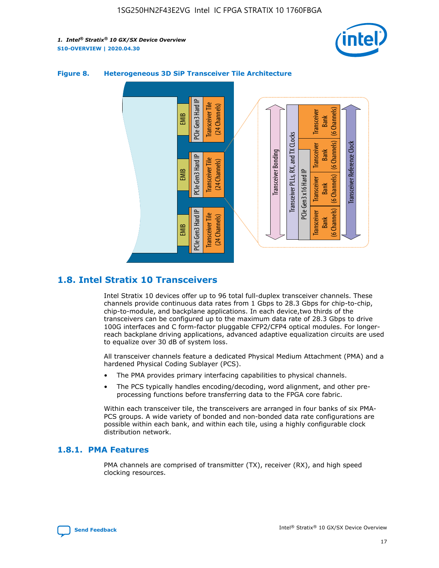



## **Figure 8. Heterogeneous 3D SiP Transceiver Tile Architecture**

## **1.8. Intel Stratix 10 Transceivers**

Intel Stratix 10 devices offer up to 96 total full-duplex transceiver channels. These channels provide continuous data rates from 1 Gbps to 28.3 Gbps for chip-to-chip, chip-to-module, and backplane applications. In each device,two thirds of the transceivers can be configured up to the maximum data rate of 28.3 Gbps to drive 100G interfaces and C form-factor pluggable CFP2/CFP4 optical modules. For longerreach backplane driving applications, advanced adaptive equalization circuits are used to equalize over 30 dB of system loss.

All transceiver channels feature a dedicated Physical Medium Attachment (PMA) and a hardened Physical Coding Sublayer (PCS).

- The PMA provides primary interfacing capabilities to physical channels.
- The PCS typically handles encoding/decoding, word alignment, and other preprocessing functions before transferring data to the FPGA core fabric.

Within each transceiver tile, the transceivers are arranged in four banks of six PMA-PCS groups. A wide variety of bonded and non-bonded data rate configurations are possible within each bank, and within each tile, using a highly configurable clock distribution network.

## **1.8.1. PMA Features**

PMA channels are comprised of transmitter (TX), receiver (RX), and high speed clocking resources.

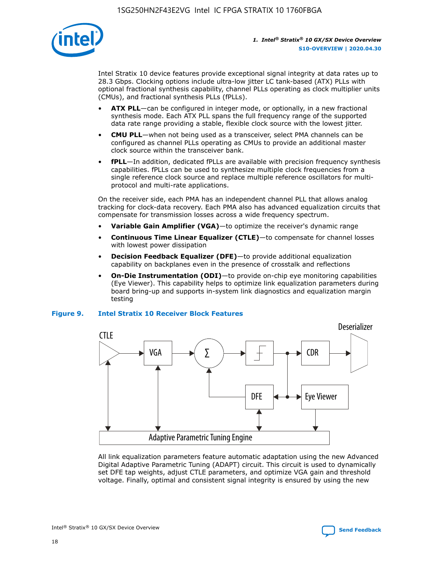

Intel Stratix 10 device features provide exceptional signal integrity at data rates up to 28.3 Gbps. Clocking options include ultra-low jitter LC tank-based (ATX) PLLs with optional fractional synthesis capability, channel PLLs operating as clock multiplier units (CMUs), and fractional synthesis PLLs (fPLLs).

- **ATX PLL**—can be configured in integer mode, or optionally, in a new fractional synthesis mode. Each ATX PLL spans the full frequency range of the supported data rate range providing a stable, flexible clock source with the lowest jitter.
- **CMU PLL**—when not being used as a transceiver, select PMA channels can be configured as channel PLLs operating as CMUs to provide an additional master clock source within the transceiver bank.
- **fPLL**—In addition, dedicated fPLLs are available with precision frequency synthesis capabilities. fPLLs can be used to synthesize multiple clock frequencies from a single reference clock source and replace multiple reference oscillators for multiprotocol and multi-rate applications.

On the receiver side, each PMA has an independent channel PLL that allows analog tracking for clock-data recovery. Each PMA also has advanced equalization circuits that compensate for transmission losses across a wide frequency spectrum.

- **Variable Gain Amplifier (VGA)**—to optimize the receiver's dynamic range
- **Continuous Time Linear Equalizer (CTLE)**—to compensate for channel losses with lowest power dissipation
- **Decision Feedback Equalizer (DFE)**—to provide additional equalization capability on backplanes even in the presence of crosstalk and reflections
- **On-Die Instrumentation (ODI)**—to provide on-chip eye monitoring capabilities (Eye Viewer). This capability helps to optimize link equalization parameters during board bring-up and supports in-system link diagnostics and equalization margin testing

#### **Figure 9. Intel Stratix 10 Receiver Block Features**



All link equalization parameters feature automatic adaptation using the new Advanced Digital Adaptive Parametric Tuning (ADAPT) circuit. This circuit is used to dynamically set DFE tap weights, adjust CTLE parameters, and optimize VGA gain and threshold voltage. Finally, optimal and consistent signal integrity is ensured by using the new



Intel<sup>®</sup> Stratix<sup>®</sup> 10 GX/SX Device Overview **[Send Feedback](mailto:FPGAtechdocfeedback@intel.com?subject=Feedback%20on%20Intel%20Stratix%2010%20GX/SX%20Device%20Overview%20(S10-OVERVIEW%202020.04.30)&body=We%20appreciate%20your%20feedback.%20In%20your%20comments,%20also%20specify%20the%20page%20number%20or%20paragraph.%20Thank%20you.)** Send Feedback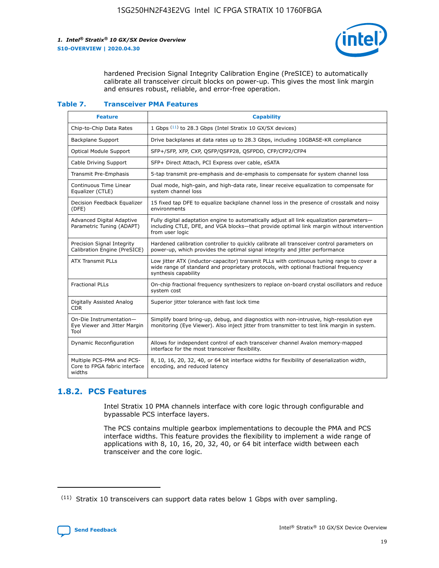

hardened Precision Signal Integrity Calibration Engine (PreSICE) to automatically calibrate all transceiver circuit blocks on power-up. This gives the most link margin and ensures robust, reliable, and error-free operation.

#### **Table 7. Transceiver PMA Features**

| <b>Feature</b>                                                       | <b>Capability</b>                                                                                                                                                                                         |
|----------------------------------------------------------------------|-----------------------------------------------------------------------------------------------------------------------------------------------------------------------------------------------------------|
| Chip-to-Chip Data Rates                                              | 1 Gbps (11) to 28.3 Gbps (Intel Stratix 10 GX/SX devices)                                                                                                                                                 |
| <b>Backplane Support</b>                                             | Drive backplanes at data rates up to 28.3 Gbps, including 10GBASE-KR compliance                                                                                                                           |
| Optical Module Support                                               | SFP+/SFP, XFP, CXP, QSFP/QSFP28, QSFPDD, CFP/CFP2/CFP4                                                                                                                                                    |
| Cable Driving Support                                                | SFP+ Direct Attach, PCI Express over cable, eSATA                                                                                                                                                         |
| <b>Transmit Pre-Emphasis</b>                                         | 5-tap transmit pre-emphasis and de-emphasis to compensate for system channel loss                                                                                                                         |
| Continuous Time Linear<br>Equalizer (CTLE)                           | Dual mode, high-gain, and high-data rate, linear receive equalization to compensate for<br>system channel loss                                                                                            |
| Decision Feedback Equalizer<br>(DFE)                                 | 15 fixed tap DFE to equalize backplane channel loss in the presence of crosstalk and noisy<br>environments                                                                                                |
| Advanced Digital Adaptive<br>Parametric Tuning (ADAPT)               | Fully digital adaptation engine to automatically adjust all link equalization parameters-<br>including CTLE, DFE, and VGA blocks-that provide optimal link margin without intervention<br>from user logic |
| Precision Signal Integrity<br>Calibration Engine (PreSICE)           | Hardened calibration controller to quickly calibrate all transceiver control parameters on<br>power-up, which provides the optimal signal integrity and jitter performance                                |
| <b>ATX Transmit PLLs</b>                                             | Low jitter ATX (inductor-capacitor) transmit PLLs with continuous tuning range to cover a<br>wide range of standard and proprietary protocols, with optional fractional frequency<br>synthesis capability |
| <b>Fractional PLLs</b>                                               | On-chip fractional frequency synthesizers to replace on-board crystal oscillators and reduce<br>system cost                                                                                               |
| Digitally Assisted Analog<br>CDR.                                    | Superior jitter tolerance with fast lock time                                                                                                                                                             |
| On-Die Instrumentation-<br>Eye Viewer and Jitter Margin<br>Tool      | Simplify board bring-up, debug, and diagnostics with non-intrusive, high-resolution eye<br>monitoring (Eye Viewer). Also inject jitter from transmitter to test link margin in system.                    |
| Dynamic Reconfiguration                                              | Allows for independent control of each transceiver channel Avalon memory-mapped<br>interface for the most transceiver flexibility.                                                                        |
| Multiple PCS-PMA and PCS-<br>Core to FPGA fabric interface<br>widths | 8, 10, 16, 20, 32, 40, or 64 bit interface widths for flexibility of deserialization width,<br>encoding, and reduced latency                                                                              |

## **1.8.2. PCS Features**

Intel Stratix 10 PMA channels interface with core logic through configurable and bypassable PCS interface layers.

The PCS contains multiple gearbox implementations to decouple the PMA and PCS interface widths. This feature provides the flexibility to implement a wide range of applications with 8, 10, 16, 20, 32, 40, or 64 bit interface width between each transceiver and the core logic.

 $(11)$  Stratix 10 transceivers can support data rates below 1 Gbps with over sampling.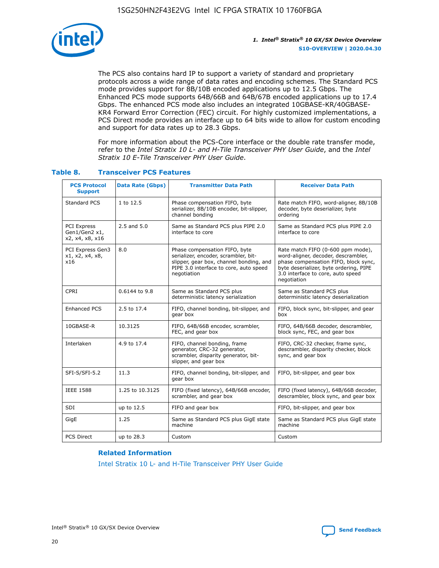

The PCS also contains hard IP to support a variety of standard and proprietary protocols across a wide range of data rates and encoding schemes. The Standard PCS mode provides support for 8B/10B encoded applications up to 12.5 Gbps. The Enhanced PCS mode supports 64B/66B and 64B/67B encoded applications up to 17.4 Gbps. The enhanced PCS mode also includes an integrated 10GBASE-KR/40GBASE-KR4 Forward Error Correction (FEC) circuit. For highly customized implementations, a PCS Direct mode provides an interface up to 64 bits wide to allow for custom encoding and support for data rates up to 28.3 Gbps.

For more information about the PCS-Core interface or the double rate transfer mode, refer to the *Intel Stratix 10 L- and H-Tile Transceiver PHY User Guide*, and the *Intel Stratix 10 E-Tile Transceiver PHY User Guide*.

| <b>PCS Protocol</b><br><b>Support</b>           | <b>Data Rate (Gbps)</b> | <b>Transmitter Data Path</b>                                                                                                                                              | <b>Receiver Data Path</b>                                                                                                                                                                                      |
|-------------------------------------------------|-------------------------|---------------------------------------------------------------------------------------------------------------------------------------------------------------------------|----------------------------------------------------------------------------------------------------------------------------------------------------------------------------------------------------------------|
| Standard PCS                                    | 1 to 12.5               | Phase compensation FIFO, byte<br>serializer, 8B/10B encoder, bit-slipper,<br>channel bonding                                                                              | Rate match FIFO, word-aligner, 8B/10B<br>decoder, byte deserializer, byte<br>ordering                                                                                                                          |
| PCI Express<br>Gen1/Gen2 x1,<br>x2, x4, x8, x16 | $2.5$ and $5.0$         | Same as Standard PCS plus PIPE 2.0<br>interface to core                                                                                                                   | Same as Standard PCS plus PIPE 2.0<br>interface to core                                                                                                                                                        |
| PCI Express Gen3<br>x1, x2, x4, x8,<br>x16      | 8.0                     | Phase compensation FIFO, byte<br>serializer, encoder, scrambler, bit-<br>slipper, gear box, channel bonding, and<br>PIPE 3.0 interface to core, auto speed<br>negotiation | Rate match FIFO (0-600 ppm mode),<br>word-aligner, decoder, descrambler,<br>phase compensation FIFO, block sync,<br>byte deserializer, byte ordering, PIPE<br>3.0 interface to core, auto speed<br>negotiation |
| CPRI                                            | 0.6144 to 9.8           | Same as Standard PCS plus<br>deterministic latency serialization                                                                                                          | Same as Standard PCS plus<br>deterministic latency deserialization                                                                                                                                             |
| <b>Enhanced PCS</b>                             | 2.5 to 17.4             | FIFO, channel bonding, bit-slipper, and<br>gear box                                                                                                                       | FIFO, block sync, bit-slipper, and gear<br>box                                                                                                                                                                 |
| 10GBASE-R                                       | 10.3125                 | FIFO, 64B/66B encoder, scrambler,<br>FEC, and gear box                                                                                                                    | FIFO, 64B/66B decoder, descrambler,<br>block sync, FEC, and gear box                                                                                                                                           |
| Interlaken                                      | 4.9 to 17.4             | FIFO, channel bonding, frame<br>generator, CRC-32 generator,<br>scrambler, disparity generator, bit-<br>slipper, and gear box                                             | FIFO, CRC-32 checker, frame sync,<br>descrambler, disparity checker, block<br>sync, and gear box                                                                                                               |
| SFI-S/SFI-5.2                                   | 11.3                    | FIFO, channel bonding, bit-slipper, and<br>gear box                                                                                                                       | FIFO, bit-slipper, and gear box                                                                                                                                                                                |
| <b>IEEE 1588</b>                                | 1.25 to 10.3125         | FIFO (fixed latency), 64B/66B encoder,<br>scrambler, and gear box                                                                                                         | FIFO (fixed latency), 64B/66B decoder,<br>descrambler, block sync, and gear box                                                                                                                                |
| SDI                                             | up to 12.5              | FIFO and gear box                                                                                                                                                         | FIFO, bit-slipper, and gear box                                                                                                                                                                                |
| GigE                                            | 1.25                    | Same as Standard PCS plus GigE state<br>machine                                                                                                                           | Same as Standard PCS plus GigE state<br>machine                                                                                                                                                                |
| <b>PCS Direct</b>                               | up to 28.3              | Custom                                                                                                                                                                    | Custom                                                                                                                                                                                                         |

## **Table 8. Transceiver PCS Features**

#### **Related Information**

[Intel Stratix 10 L- and H-Tile Transceiver PHY User Guide](https://www.altera.com/documentation/wry1479165198810.html)

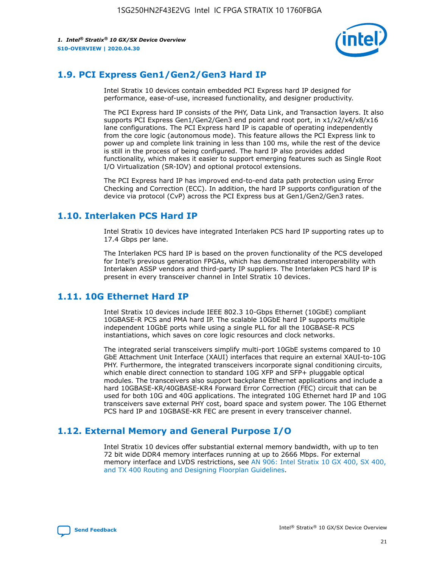

## **1.9. PCI Express Gen1/Gen2/Gen3 Hard IP**

Intel Stratix 10 devices contain embedded PCI Express hard IP designed for performance, ease-of-use, increased functionality, and designer productivity.

The PCI Express hard IP consists of the PHY, Data Link, and Transaction layers. It also supports PCI Express Gen1/Gen2/Gen3 end point and root port, in x1/x2/x4/x8/x16 lane configurations. The PCI Express hard IP is capable of operating independently from the core logic (autonomous mode). This feature allows the PCI Express link to power up and complete link training in less than 100 ms, while the rest of the device is still in the process of being configured. The hard IP also provides added functionality, which makes it easier to support emerging features such as Single Root I/O Virtualization (SR-IOV) and optional protocol extensions.

The PCI Express hard IP has improved end-to-end data path protection using Error Checking and Correction (ECC). In addition, the hard IP supports configuration of the device via protocol (CvP) across the PCI Express bus at Gen1/Gen2/Gen3 rates.

## **1.10. Interlaken PCS Hard IP**

Intel Stratix 10 devices have integrated Interlaken PCS hard IP supporting rates up to 17.4 Gbps per lane.

The Interlaken PCS hard IP is based on the proven functionality of the PCS developed for Intel's previous generation FPGAs, which has demonstrated interoperability with Interlaken ASSP vendors and third-party IP suppliers. The Interlaken PCS hard IP is present in every transceiver channel in Intel Stratix 10 devices.

## **1.11. 10G Ethernet Hard IP**

Intel Stratix 10 devices include IEEE 802.3 10-Gbps Ethernet (10GbE) compliant 10GBASE-R PCS and PMA hard IP. The scalable 10GbE hard IP supports multiple independent 10GbE ports while using a single PLL for all the 10GBASE-R PCS instantiations, which saves on core logic resources and clock networks.

The integrated serial transceivers simplify multi-port 10GbE systems compared to 10 GbE Attachment Unit Interface (XAUI) interfaces that require an external XAUI-to-10G PHY. Furthermore, the integrated transceivers incorporate signal conditioning circuits, which enable direct connection to standard 10G XFP and SFP+ pluggable optical modules. The transceivers also support backplane Ethernet applications and include a hard 10GBASE-KR/40GBASE-KR4 Forward Error Correction (FEC) circuit that can be used for both 10G and 40G applications. The integrated 10G Ethernet hard IP and 10G transceivers save external PHY cost, board space and system power. The 10G Ethernet PCS hard IP and 10GBASE-KR FEC are present in every transceiver channel.

## **1.12. External Memory and General Purpose I/O**

Intel Stratix 10 devices offer substantial external memory bandwidth, with up to ten 72 bit wide DDR4 memory interfaces running at up to 2666 Mbps. For external memory interface and LVDS restrictions, see [AN 906: Intel Stratix 10 GX 400, SX 400,](https://www.intel.com/content/www/us/en/programmable/documentation/sjf1574667190623.html#bft1574667627484) [and TX 400 Routing and Designing Floorplan Guidelines.](https://www.intel.com/content/www/us/en/programmable/documentation/sjf1574667190623.html#bft1574667627484)

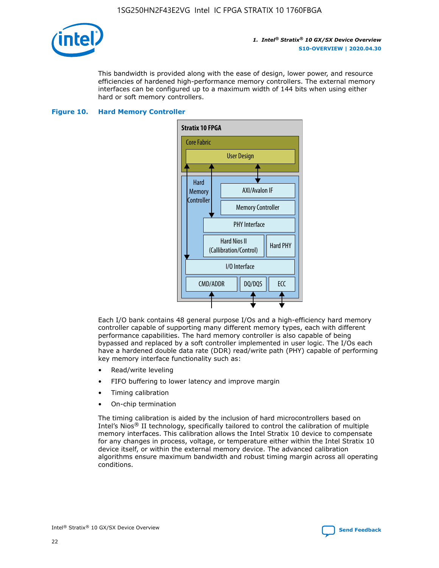

This bandwidth is provided along with the ease of design, lower power, and resource efficiencies of hardened high-performance memory controllers. The external memory interfaces can be configured up to a maximum width of 144 bits when using either hard or soft memory controllers.

### **Figure 10. Hard Memory Controller**



Each I/O bank contains 48 general purpose I/Os and a high-efficiency hard memory controller capable of supporting many different memory types, each with different performance capabilities. The hard memory controller is also capable of being bypassed and replaced by a soft controller implemented in user logic. The I/Os each have a hardened double data rate (DDR) read/write path (PHY) capable of performing key memory interface functionality such as:

- Read/write leveling
- FIFO buffering to lower latency and improve margin
- Timing calibration
- On-chip termination

The timing calibration is aided by the inclusion of hard microcontrollers based on Intel's Nios® II technology, specifically tailored to control the calibration of multiple memory interfaces. This calibration allows the Intel Stratix 10 device to compensate for any changes in process, voltage, or temperature either within the Intel Stratix 10 device itself, or within the external memory device. The advanced calibration algorithms ensure maximum bandwidth and robust timing margin across all operating conditions.

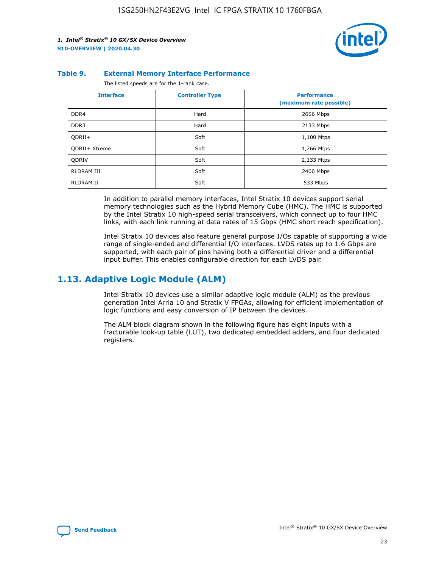

#### **Table 9. External Memory Interface Performance**

The listed speeds are for the 1-rank case.

| <b>Interface</b>     | <b>Controller Type</b> | <b>Performance</b><br>(maximum rate possible) |
|----------------------|------------------------|-----------------------------------------------|
| DDR4                 | Hard                   | 2666 Mbps                                     |
| DDR <sub>3</sub>     | Hard                   | 2133 Mbps                                     |
| QDRII+               | Soft                   | 1,100 Mtps                                    |
| <b>ODRII+ Xtreme</b> | Soft                   | 1,266 Mtps                                    |
| <b>ODRIV</b>         | Soft                   | 2,133 Mtps                                    |
| RLDRAM III           | Soft                   | 2400 Mbps                                     |
| <b>RLDRAM II</b>     | Soft                   | 533 Mbps                                      |

In addition to parallel memory interfaces, Intel Stratix 10 devices support serial memory technologies such as the Hybrid Memory Cube (HMC). The HMC is supported by the Intel Stratix 10 high-speed serial transceivers, which connect up to four HMC links, with each link running at data rates of 15 Gbps (HMC short reach specification).

Intel Stratix 10 devices also feature general purpose I/Os capable of supporting a wide range of single-ended and differential I/O interfaces. LVDS rates up to 1.6 Gbps are supported, with each pair of pins having both a differential driver and a differential input buffer. This enables configurable direction for each LVDS pair.

## **1.13. Adaptive Logic Module (ALM)**

Intel Stratix 10 devices use a similar adaptive logic module (ALM) as the previous generation Intel Arria 10 and Stratix V FPGAs, allowing for efficient implementation of logic functions and easy conversion of IP between the devices.

The ALM block diagram shown in the following figure has eight inputs with a fracturable look-up table (LUT), two dedicated embedded adders, and four dedicated registers.

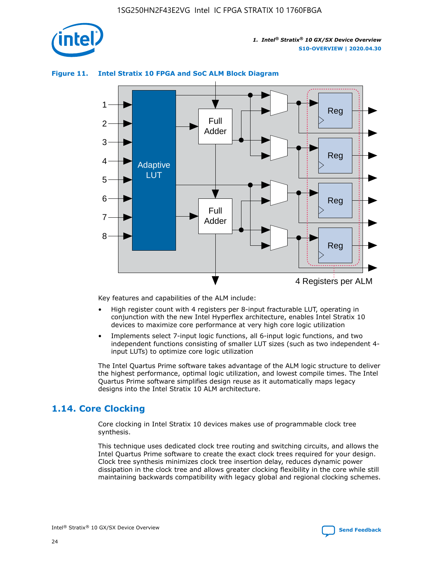

## **Figure 11. Intel Stratix 10 FPGA and SoC ALM Block Diagram**



Key features and capabilities of the ALM include:

- High register count with 4 registers per 8-input fracturable LUT, operating in conjunction with the new Intel Hyperflex architecture, enables Intel Stratix 10 devices to maximize core performance at very high core logic utilization
- Implements select 7-input logic functions, all 6-input logic functions, and two independent functions consisting of smaller LUT sizes (such as two independent 4 input LUTs) to optimize core logic utilization

The Intel Quartus Prime software takes advantage of the ALM logic structure to deliver the highest performance, optimal logic utilization, and lowest compile times. The Intel Quartus Prime software simplifies design reuse as it automatically maps legacy designs into the Intel Stratix 10 ALM architecture.

## **1.14. Core Clocking**

Core clocking in Intel Stratix 10 devices makes use of programmable clock tree synthesis.

This technique uses dedicated clock tree routing and switching circuits, and allows the Intel Quartus Prime software to create the exact clock trees required for your design. Clock tree synthesis minimizes clock tree insertion delay, reduces dynamic power dissipation in the clock tree and allows greater clocking flexibility in the core while still maintaining backwards compatibility with legacy global and regional clocking schemes.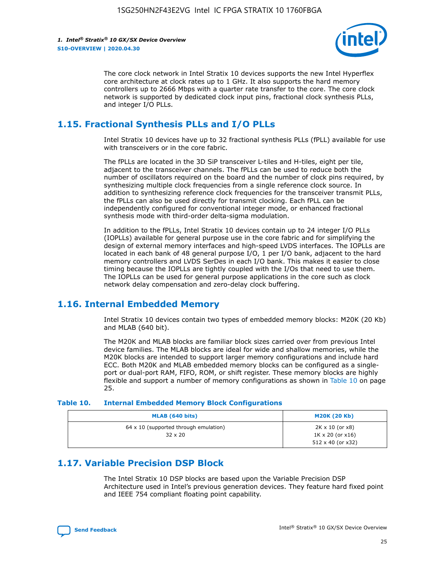

The core clock network in Intel Stratix 10 devices supports the new Intel Hyperflex core architecture at clock rates up to 1 GHz. It also supports the hard memory controllers up to 2666 Mbps with a quarter rate transfer to the core. The core clock network is supported by dedicated clock input pins, fractional clock synthesis PLLs, and integer I/O PLLs.

## **1.15. Fractional Synthesis PLLs and I/O PLLs**

Intel Stratix 10 devices have up to 32 fractional synthesis PLLs (fPLL) available for use with transceivers or in the core fabric.

The fPLLs are located in the 3D SiP transceiver L-tiles and H-tiles, eight per tile, adjacent to the transceiver channels. The fPLLs can be used to reduce both the number of oscillators required on the board and the number of clock pins required, by synthesizing multiple clock frequencies from a single reference clock source. In addition to synthesizing reference clock frequencies for the transceiver transmit PLLs, the fPLLs can also be used directly for transmit clocking. Each fPLL can be independently configured for conventional integer mode, or enhanced fractional synthesis mode with third-order delta-sigma modulation.

In addition to the fPLLs, Intel Stratix 10 devices contain up to 24 integer I/O PLLs (IOPLLs) available for general purpose use in the core fabric and for simplifying the design of external memory interfaces and high-speed LVDS interfaces. The IOPLLs are located in each bank of 48 general purpose I/O, 1 per I/O bank, adjacent to the hard memory controllers and LVDS SerDes in each I/O bank. This makes it easier to close timing because the IOPLLs are tightly coupled with the I/Os that need to use them. The IOPLLs can be used for general purpose applications in the core such as clock network delay compensation and zero-delay clock buffering.

## **1.16. Internal Embedded Memory**

Intel Stratix 10 devices contain two types of embedded memory blocks: M20K (20 Kb) and MLAB (640 bit).

The M20K and MLAB blocks are familiar block sizes carried over from previous Intel device families. The MLAB blocks are ideal for wide and shallow memories, while the M20K blocks are intended to support larger memory configurations and include hard ECC. Both M20K and MLAB embedded memory blocks can be configured as a singleport or dual-port RAM, FIFO, ROM, or shift register. These memory blocks are highly flexible and support a number of memory configurations as shown in Table 10 on page 25.

#### **Table 10. Internal Embedded Memory Block Configurations**

| MLAB (640 bits)                                                | <b>M20K (20 Kb)</b>                                                                    |
|----------------------------------------------------------------|----------------------------------------------------------------------------------------|
| $64 \times 10$ (supported through emulation)<br>$32 \times 20$ | $2K \times 10$ (or $x8$ )<br>$1K \times 20$ (or $x16$ )<br>$512 \times 40$ (or $x32$ ) |

## **1.17. Variable Precision DSP Block**

The Intel Stratix 10 DSP blocks are based upon the Variable Precision DSP Architecture used in Intel's previous generation devices. They feature hard fixed point and IEEE 754 compliant floating point capability.

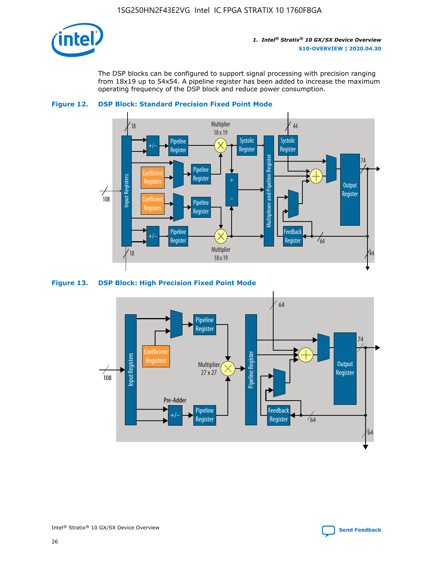

The DSP blocks can be configured to support signal processing with precision ranging from 18x19 up to 54x54. A pipeline register has been added to increase the maximum operating frequency of the DSP block and reduce power consumption.





#### **Figure 13. DSP Block: High Precision Fixed Point Mode**

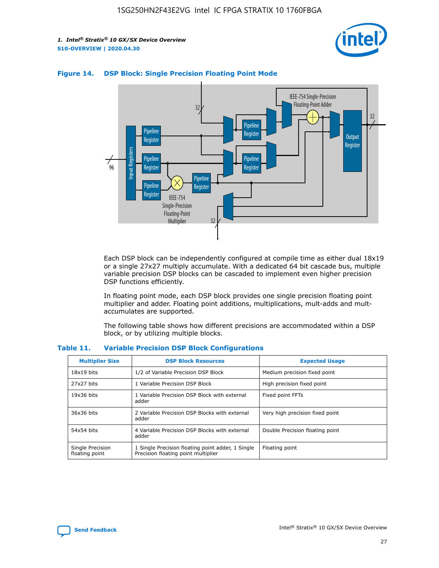



## **Figure 14. DSP Block: Single Precision Floating Point Mode**

Each DSP block can be independently configured at compile time as either dual 18x19 or a single 27x27 multiply accumulate. With a dedicated 64 bit cascade bus, multiple variable precision DSP blocks can be cascaded to implement even higher precision DSP functions efficiently.

In floating point mode, each DSP block provides one single precision floating point multiplier and adder. Floating point additions, multiplications, mult-adds and multaccumulates are supported.

The following table shows how different precisions are accommodated within a DSP block, or by utilizing multiple blocks.

| <b>Multiplier Size</b>             | <b>DSP Block Resources</b>                                                               | <b>Expected Usage</b>           |
|------------------------------------|------------------------------------------------------------------------------------------|---------------------------------|
| $18x19$ bits                       | 1/2 of Variable Precision DSP Block                                                      | Medium precision fixed point    |
| 27x27 bits                         | 1 Variable Precision DSP Block                                                           | High precision fixed point      |
| $19x36$ bits                       | 1 Variable Precision DSP Block with external<br>adder                                    | Fixed point FFTs                |
| 36x36 bits                         | 2 Variable Precision DSP Blocks with external<br>adder                                   | Very high precision fixed point |
| 54x54 bits                         | 4 Variable Precision DSP Blocks with external<br>adder                                   | Double Precision floating point |
| Single Precision<br>floating point | 1 Single Precision floating point adder, 1 Single<br>Precision floating point multiplier | Floating point                  |

#### **Table 11. Variable Precision DSP Block Configurations**

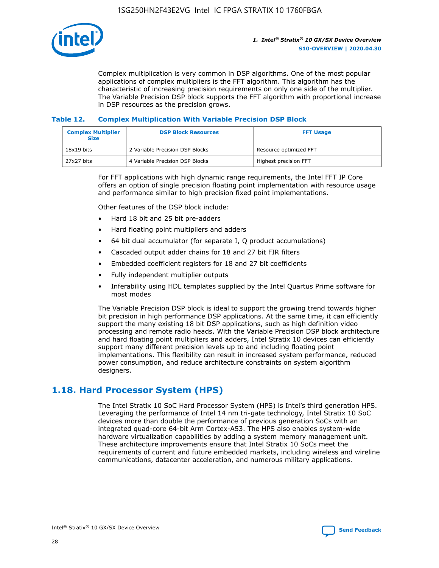

Complex multiplication is very common in DSP algorithms. One of the most popular applications of complex multipliers is the FFT algorithm. This algorithm has the characteristic of increasing precision requirements on only one side of the multiplier. The Variable Precision DSP block supports the FFT algorithm with proportional increase in DSP resources as the precision grows.

### **Table 12. Complex Multiplication With Variable Precision DSP Block**

| <b>Complex Multiplier</b><br><b>Size</b> | <b>DSP Block Resources</b>      | <b>FFT Usage</b>       |
|------------------------------------------|---------------------------------|------------------------|
| $18x19$ bits                             | 2 Variable Precision DSP Blocks | Resource optimized FFT |
| $27x27$ bits                             | 4 Variable Precision DSP Blocks | Highest precision FFT  |

For FFT applications with high dynamic range requirements, the Intel FFT IP Core offers an option of single precision floating point implementation with resource usage and performance similar to high precision fixed point implementations.

Other features of the DSP block include:

- Hard 18 bit and 25 bit pre-adders
- Hard floating point multipliers and adders
- 64 bit dual accumulator (for separate I, Q product accumulations)
- Cascaded output adder chains for 18 and 27 bit FIR filters
- Embedded coefficient registers for 18 and 27 bit coefficients
- Fully independent multiplier outputs
- Inferability using HDL templates supplied by the Intel Quartus Prime software for most modes

The Variable Precision DSP block is ideal to support the growing trend towards higher bit precision in high performance DSP applications. At the same time, it can efficiently support the many existing 18 bit DSP applications, such as high definition video processing and remote radio heads. With the Variable Precision DSP block architecture and hard floating point multipliers and adders, Intel Stratix 10 devices can efficiently support many different precision levels up to and including floating point implementations. This flexibility can result in increased system performance, reduced power consumption, and reduce architecture constraints on system algorithm designers.

## **1.18. Hard Processor System (HPS)**

The Intel Stratix 10 SoC Hard Processor System (HPS) is Intel's third generation HPS. Leveraging the performance of Intel 14 nm tri-gate technology, Intel Stratix 10 SoC devices more than double the performance of previous generation SoCs with an integrated quad-core 64-bit Arm Cortex-A53. The HPS also enables system-wide hardware virtualization capabilities by adding a system memory management unit. These architecture improvements ensure that Intel Stratix 10 SoCs meet the requirements of current and future embedded markets, including wireless and wireline communications, datacenter acceleration, and numerous military applications.

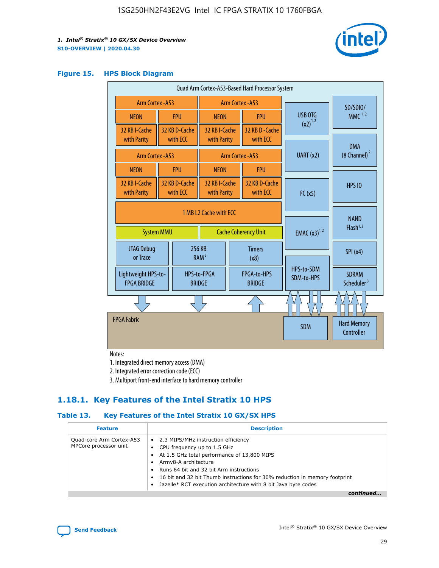

#### **Figure 15. HPS Block Diagram**

| Quad Arm Cortex-A53-Based Hard Processor System |                                                                            |                           |                                                     |                          |                                     |                          |                                        |
|-------------------------------------------------|----------------------------------------------------------------------------|---------------------------|-----------------------------------------------------|--------------------------|-------------------------------------|--------------------------|----------------------------------------|
|                                                 | Arm Cortex - A53                                                           |                           | Arm Cortex - A53                                    |                          |                                     | SD/SDIO/                 |                                        |
| <b>NEON</b>                                     |                                                                            | <b>FPU</b>                | <b>NEON</b>                                         |                          | <b>FPU</b>                          | USB OTG                  | $MMC$ <sup>1,2</sup>                   |
| 32 KB I-Cache<br>with Parity                    |                                                                            | 32 KB D-Cache<br>with ECC | 32 KB I-Cache<br>with Parity                        |                          | 32 KB D - Cache<br>with ECC         | $(x2)^{1,2}$             |                                        |
| Arm Cortex - A53                                |                                                                            |                           |                                                     |                          | Arm Cortex - A53                    | UART(x2)                 | <b>DMA</b><br>$(8 \text{ Channel})^2$  |
| <b>NEON</b>                                     |                                                                            | <b>FPU</b>                | <b>NEON</b>                                         |                          | <b>FPU</b>                          |                          |                                        |
| 32 KB I-Cache<br>with Parity                    | 32 KB D-Cache<br>with ECC                                                  |                           | 32 KB I-Cache<br>with Parity<br>with ECC            |                          | 32 KB D-Cache                       | I <sup>2</sup> C(x5)     | <b>HPS 10</b>                          |
|                                                 | 1 MB L2 Cache with ECC<br><b>System MMU</b><br><b>Cache Coherency Unit</b> |                           |                                                     | <b>EMAC</b> $(x3)^{1,2}$ | <b>NAND</b><br>Flash <sup>1,2</sup> |                          |                                        |
| JTAG Debug<br>or Trace                          |                                                                            |                           | 256 KB<br><b>Timers</b><br>RAM <sup>2</sup><br>(x8) |                          |                                     | SPI(x4)                  |                                        |
| Lightweight HPS-to-<br><b>FPGA BRIDGE</b>       |                                                                            |                           | HPS-to-FPGA<br><b>BRIDGE</b>                        |                          | FPGA-to-HPS<br><b>BRIDGE</b>        | HPS-to-SDM<br>SDM-to-HPS | <b>SDRAM</b><br>Scheduler <sup>3</sup> |
|                                                 |                                                                            |                           |                                                     |                          |                                     |                          |                                        |
| <b>FPGA Fabric</b>                              |                                                                            |                           |                                                     |                          |                                     | <b>SDM</b>               | <b>Hard Memory</b><br>Controller       |

Notes:

1. Integrated direct memory access (DMA)

2. Integrated error correction code (ECC)

3. Multiport front-end interface to hard memory controller

## **1.18.1. Key Features of the Intel Stratix 10 HPS**

## **Table 13. Key Features of the Intel Stratix 10 GX/SX HPS**

| <b>Feature</b>                                    | <b>Description</b>                                                                                                                                                                                                                                                                                                                                     |
|---------------------------------------------------|--------------------------------------------------------------------------------------------------------------------------------------------------------------------------------------------------------------------------------------------------------------------------------------------------------------------------------------------------------|
| Quad-core Arm Cortex-A53<br>MPCore processor unit | 2.3 MIPS/MHz instruction efficiency<br>$\bullet$<br>CPU frequency up to 1.5 GHz<br>٠<br>At 1.5 GHz total performance of 13,800 MIPS<br>Army8-A architecture<br>Runs 64 bit and 32 bit Arm instructions<br>16 bit and 32 bit Thumb instructions for 30% reduction in memory footprint<br>Jazelle* RCT execution architecture with 8 bit Java byte codes |
|                                                   |                                                                                                                                                                                                                                                                                                                                                        |

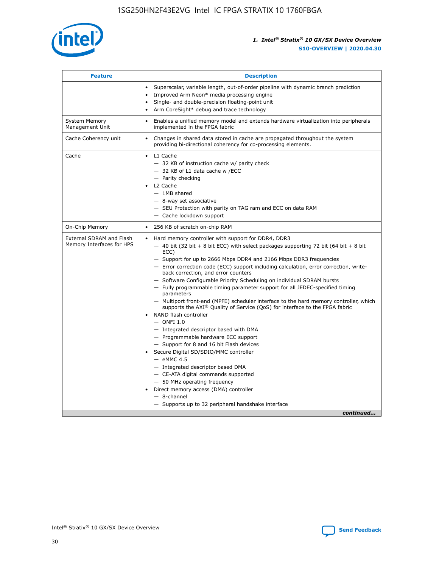

| <b>Feature</b>                                        | <b>Description</b>                                                                                                                                                                                                                                                                                                                                                                                                                                                                                                                                                                                                                                                                                                                                                                                                                                                                                                                                                                                                                                                                                                                                                                                               |  |  |
|-------------------------------------------------------|------------------------------------------------------------------------------------------------------------------------------------------------------------------------------------------------------------------------------------------------------------------------------------------------------------------------------------------------------------------------------------------------------------------------------------------------------------------------------------------------------------------------------------------------------------------------------------------------------------------------------------------------------------------------------------------------------------------------------------------------------------------------------------------------------------------------------------------------------------------------------------------------------------------------------------------------------------------------------------------------------------------------------------------------------------------------------------------------------------------------------------------------------------------------------------------------------------------|--|--|
|                                                       | Superscalar, variable length, out-of-order pipeline with dynamic branch prediction<br>Improved Arm Neon* media processing engine<br>Single- and double-precision floating-point unit<br>Arm CoreSight* debug and trace technology<br>٠                                                                                                                                                                                                                                                                                                                                                                                                                                                                                                                                                                                                                                                                                                                                                                                                                                                                                                                                                                           |  |  |
| <b>System Memory</b><br>Management Unit               | Enables a unified memory model and extends hardware virtualization into peripherals<br>implemented in the FPGA fabric                                                                                                                                                                                                                                                                                                                                                                                                                                                                                                                                                                                                                                                                                                                                                                                                                                                                                                                                                                                                                                                                                            |  |  |
| Cache Coherency unit                                  | Changes in shared data stored in cache are propagated throughout the system<br>$\bullet$<br>providing bi-directional coherency for co-processing elements.                                                                                                                                                                                                                                                                                                                                                                                                                                                                                                                                                                                                                                                                                                                                                                                                                                                                                                                                                                                                                                                       |  |  |
| Cache                                                 | L1 Cache<br>$\bullet$<br>- 32 KB of instruction cache w/ parity check<br>- 32 KB of L1 data cache w /ECC<br>- Parity checking<br>L <sub>2</sub> Cache<br>$-$ 1MB shared<br>$-$ 8-way set associative<br>- SEU Protection with parity on TAG ram and ECC on data RAM<br>- Cache lockdown support                                                                                                                                                                                                                                                                                                                                                                                                                                                                                                                                                                                                                                                                                                                                                                                                                                                                                                                  |  |  |
| On-Chip Memory                                        | 256 KB of scratch on-chip RAM                                                                                                                                                                                                                                                                                                                                                                                                                                                                                                                                                                                                                                                                                                                                                                                                                                                                                                                                                                                                                                                                                                                                                                                    |  |  |
| External SDRAM and Flash<br>Memory Interfaces for HPS | Hard memory controller with support for DDR4, DDR3<br>$\bullet$<br>$-$ 40 bit (32 bit + 8 bit ECC) with select packages supporting 72 bit (64 bit + 8 bit<br>ECC)<br>- Support for up to 2666 Mbps DDR4 and 2166 Mbps DDR3 frequencies<br>- Error correction code (ECC) support including calculation, error correction, write-<br>back correction, and error counters<br>- Software Configurable Priority Scheduling on individual SDRAM bursts<br>- Fully programmable timing parameter support for all JEDEC-specified timing<br>parameters<br>- Multiport front-end (MPFE) scheduler interface to the hard memory controller, which<br>supports the $AXI^{\circledR}$ Quality of Service (QoS) for interface to the FPGA fabric<br>NAND flash controller<br>$-$ ONFI 1.0<br>- Integrated descriptor based with DMA<br>- Programmable hardware ECC support<br>- Support for 8 and 16 bit Flash devices<br>Secure Digital SD/SDIO/MMC controller<br>$-$ eMMC 4.5<br>- Integrated descriptor based DMA<br>- CE-ATA digital commands supported<br>- 50 MHz operating frequency<br>Direct memory access (DMA) controller<br>٠<br>$-$ 8-channel<br>- Supports up to 32 peripheral handshake interface<br>continued |  |  |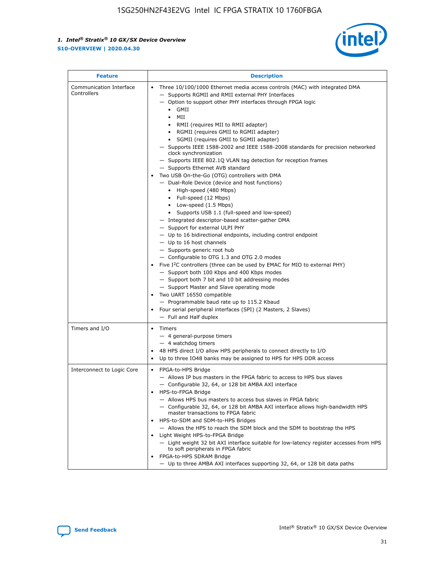

| <b>Feature</b>                         | <b>Description</b>                                                                                                                                                                                                                                                                                                                                                                                                                                                                                                                                                                                                                                                                                                                                                                                                                                                                                                                                                                                                                                                                                                                                                                                                                                                                                                                                                                                                                                                                                                     |
|----------------------------------------|------------------------------------------------------------------------------------------------------------------------------------------------------------------------------------------------------------------------------------------------------------------------------------------------------------------------------------------------------------------------------------------------------------------------------------------------------------------------------------------------------------------------------------------------------------------------------------------------------------------------------------------------------------------------------------------------------------------------------------------------------------------------------------------------------------------------------------------------------------------------------------------------------------------------------------------------------------------------------------------------------------------------------------------------------------------------------------------------------------------------------------------------------------------------------------------------------------------------------------------------------------------------------------------------------------------------------------------------------------------------------------------------------------------------------------------------------------------------------------------------------------------------|
| Communication Interface<br>Controllers | Three 10/100/1000 Ethernet media access controls (MAC) with integrated DMA<br>$\bullet$<br>- Supports RGMII and RMII external PHY Interfaces<br>- Option to support other PHY interfaces through FPGA logic<br>$\bullet$ GMII<br>MII<br>$\bullet$<br>RMII (requires MII to RMII adapter)<br>$\bullet$<br>• RGMII (requires GMII to RGMII adapter)<br>SGMII (requires GMII to SGMII adapter)<br>- Supports IEEE 1588-2002 and IEEE 1588-2008 standards for precision networked<br>clock synchronization<br>- Supports IEEE 802.1Q VLAN tag detection for reception frames<br>- Supports Ethernet AVB standard<br>Two USB On-the-Go (OTG) controllers with DMA<br>- Dual-Role Device (device and host functions)<br>• High-speed (480 Mbps)<br>• Full-speed (12 Mbps)<br>• Low-speed (1.5 Mbps)<br>• Supports USB 1.1 (full-speed and low-speed)<br>- Integrated descriptor-based scatter-gather DMA<br>- Support for external ULPI PHY<br>- Up to 16 bidirectional endpoints, including control endpoint<br>$-$ Up to 16 host channels<br>- Supports generic root hub<br>- Configurable to OTG 1.3 and OTG 2.0 modes<br>Five $I2C$ controllers (three can be used by EMAC for MIO to external PHY)<br>- Support both 100 Kbps and 400 Kbps modes<br>- Support both 7 bit and 10 bit addressing modes<br>- Support Master and Slave operating mode<br>Two UART 16550 compatible<br>- Programmable baud rate up to 115.2 Kbaud<br>Four serial peripheral interfaces (SPI) (2 Masters, 2 Slaves)<br>- Full and Half duplex |
| Timers and I/O                         | Timers<br>$\bullet$<br>- 4 general-purpose timers<br>$-4$ watchdog timers<br>48 HPS direct I/O allow HPS peripherals to connect directly to I/O<br>Up to three IO48 banks may be assigned to HPS for HPS DDR access                                                                                                                                                                                                                                                                                                                                                                                                                                                                                                                                                                                                                                                                                                                                                                                                                                                                                                                                                                                                                                                                                                                                                                                                                                                                                                    |
| Interconnect to Logic Core             | • FPGA-to-HPS Bridge<br>- Allows IP bus masters in the FPGA fabric to access to HPS bus slaves<br>- Configurable 32, 64, or 128 bit AMBA AXI interface<br>HPS-to-FPGA Bridge<br>- Allows HPS bus masters to access bus slaves in FPGA fabric<br>- Configurable 32, 64, or 128 bit AMBA AXI interface allows high-bandwidth HPS<br>master transactions to FPGA fabric<br>HPS-to-SDM and SDM-to-HPS Bridges<br>- Allows the HPS to reach the SDM block and the SDM to bootstrap the HPS<br>Light Weight HPS-to-FPGA Bridge<br>- Light weight 32 bit AXI interface suitable for low-latency register accesses from HPS<br>to soft peripherals in FPGA fabric<br>FPGA-to-HPS SDRAM Bridge<br>- Up to three AMBA AXI interfaces supporting 32, 64, or 128 bit data paths                                                                                                                                                                                                                                                                                                                                                                                                                                                                                                                                                                                                                                                                                                                                                    |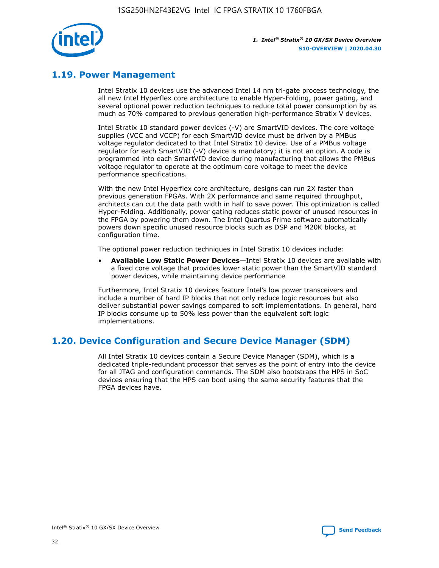

## **1.19. Power Management**

Intel Stratix 10 devices use the advanced Intel 14 nm tri-gate process technology, the all new Intel Hyperflex core architecture to enable Hyper-Folding, power gating, and several optional power reduction techniques to reduce total power consumption by as much as 70% compared to previous generation high-performance Stratix V devices.

Intel Stratix 10 standard power devices (-V) are SmartVID devices. The core voltage supplies (VCC and VCCP) for each SmartVID device must be driven by a PMBus voltage regulator dedicated to that Intel Stratix 10 device. Use of a PMBus voltage regulator for each SmartVID (-V) device is mandatory; it is not an option. A code is programmed into each SmartVID device during manufacturing that allows the PMBus voltage regulator to operate at the optimum core voltage to meet the device performance specifications.

With the new Intel Hyperflex core architecture, designs can run 2X faster than previous generation FPGAs. With 2X performance and same required throughput, architects can cut the data path width in half to save power. This optimization is called Hyper-Folding. Additionally, power gating reduces static power of unused resources in the FPGA by powering them down. The Intel Quartus Prime software automatically powers down specific unused resource blocks such as DSP and M20K blocks, at configuration time.

The optional power reduction techniques in Intel Stratix 10 devices include:

• **Available Low Static Power Devices**—Intel Stratix 10 devices are available with a fixed core voltage that provides lower static power than the SmartVID standard power devices, while maintaining device performance

Furthermore, Intel Stratix 10 devices feature Intel's low power transceivers and include a number of hard IP blocks that not only reduce logic resources but also deliver substantial power savings compared to soft implementations. In general, hard IP blocks consume up to 50% less power than the equivalent soft logic implementations.

## **1.20. Device Configuration and Secure Device Manager (SDM)**

All Intel Stratix 10 devices contain a Secure Device Manager (SDM), which is a dedicated triple-redundant processor that serves as the point of entry into the device for all JTAG and configuration commands. The SDM also bootstraps the HPS in SoC devices ensuring that the HPS can boot using the same security features that the FPGA devices have.

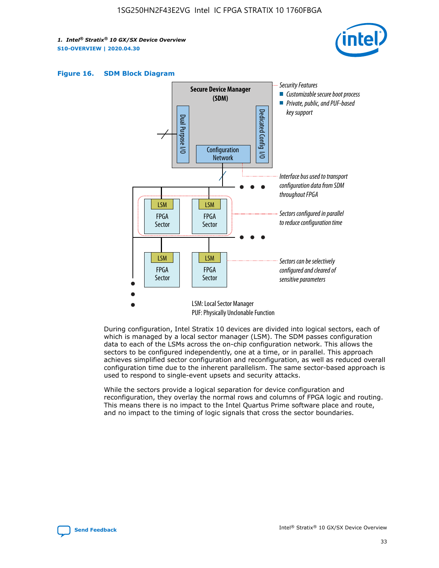





During configuration, Intel Stratix 10 devices are divided into logical sectors, each of which is managed by a local sector manager (LSM). The SDM passes configuration data to each of the LSMs across the on-chip configuration network. This allows the sectors to be configured independently, one at a time, or in parallel. This approach achieves simplified sector configuration and reconfiguration, as well as reduced overall configuration time due to the inherent parallelism. The same sector-based approach is used to respond to single-event upsets and security attacks.

While the sectors provide a logical separation for device configuration and reconfiguration, they overlay the normal rows and columns of FPGA logic and routing. This means there is no impact to the Intel Quartus Prime software place and route, and no impact to the timing of logic signals that cross the sector boundaries.

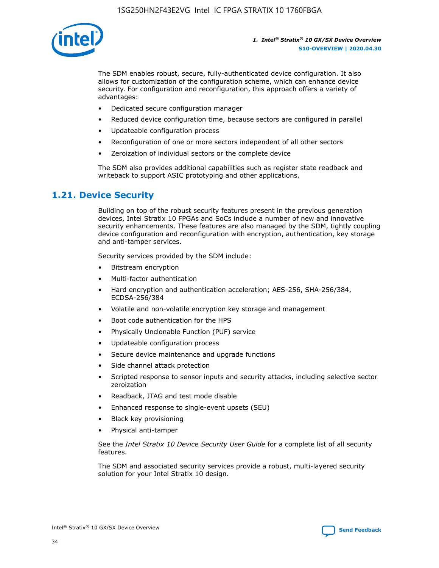

The SDM enables robust, secure, fully-authenticated device configuration. It also allows for customization of the configuration scheme, which can enhance device security. For configuration and reconfiguration, this approach offers a variety of advantages:

- Dedicated secure configuration manager
- Reduced device configuration time, because sectors are configured in parallel
- Updateable configuration process
- Reconfiguration of one or more sectors independent of all other sectors
- Zeroization of individual sectors or the complete device

The SDM also provides additional capabilities such as register state readback and writeback to support ASIC prototyping and other applications.

## **1.21. Device Security**

Building on top of the robust security features present in the previous generation devices, Intel Stratix 10 FPGAs and SoCs include a number of new and innovative security enhancements. These features are also managed by the SDM, tightly coupling device configuration and reconfiguration with encryption, authentication, key storage and anti-tamper services.

Security services provided by the SDM include:

- Bitstream encryption
- Multi-factor authentication
- Hard encryption and authentication acceleration; AES-256, SHA-256/384, ECDSA-256/384
- Volatile and non-volatile encryption key storage and management
- Boot code authentication for the HPS
- Physically Unclonable Function (PUF) service
- Updateable configuration process
- Secure device maintenance and upgrade functions
- Side channel attack protection
- Scripted response to sensor inputs and security attacks, including selective sector zeroization
- Readback, JTAG and test mode disable
- Enhanced response to single-event upsets (SEU)
- Black key provisioning
- Physical anti-tamper

See the *Intel Stratix 10 Device Security User Guide* for a complete list of all security features.

The SDM and associated security services provide a robust, multi-layered security solution for your Intel Stratix 10 design.

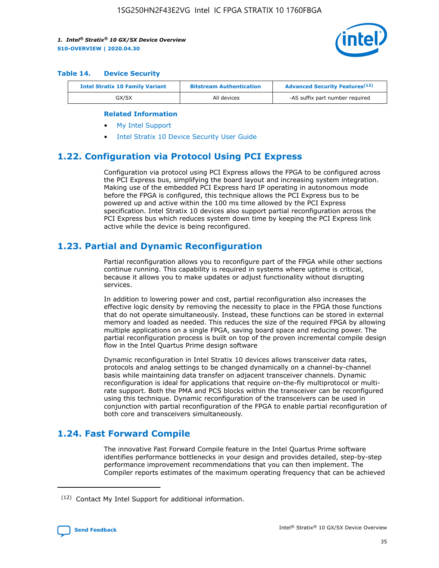

#### **Table 14. Device Security**

| <b>Intel Stratix 10 Family Variant</b> | <b>Bitstream Authentication</b> | <b>Advanced Security Features</b> <sup>(12)</sup> |
|----------------------------------------|---------------------------------|---------------------------------------------------|
| GX/SX                                  | All devices                     | -AS suffix part number required                   |

#### **Related Information**

- [My Intel Support](https://www.intel.com/content/www/us/en/programmable/my-intel/mal-home.html)
- [Intel Stratix 10 Device Security User Guide](https://www.intel.com/content/www/us/en/programmable/documentation/ndq1483601370898.html#wcd1483611014402)

## **1.22. Configuration via Protocol Using PCI Express**

Configuration via protocol using PCI Express allows the FPGA to be configured across the PCI Express bus, simplifying the board layout and increasing system integration. Making use of the embedded PCI Express hard IP operating in autonomous mode before the FPGA is configured, this technique allows the PCI Express bus to be powered up and active within the 100 ms time allowed by the PCI Express specification. Intel Stratix 10 devices also support partial reconfiguration across the PCI Express bus which reduces system down time by keeping the PCI Express link active while the device is being reconfigured.

## **1.23. Partial and Dynamic Reconfiguration**

Partial reconfiguration allows you to reconfigure part of the FPGA while other sections continue running. This capability is required in systems where uptime is critical, because it allows you to make updates or adjust functionality without disrupting services.

In addition to lowering power and cost, partial reconfiguration also increases the effective logic density by removing the necessity to place in the FPGA those functions that do not operate simultaneously. Instead, these functions can be stored in external memory and loaded as needed. This reduces the size of the required FPGA by allowing multiple applications on a single FPGA, saving board space and reducing power. The partial reconfiguration process is built on top of the proven incremental compile design flow in the Intel Quartus Prime design software

Dynamic reconfiguration in Intel Stratix 10 devices allows transceiver data rates, protocols and analog settings to be changed dynamically on a channel-by-channel basis while maintaining data transfer on adjacent transceiver channels. Dynamic reconfiguration is ideal for applications that require on-the-fly multiprotocol or multirate support. Both the PMA and PCS blocks within the transceiver can be reconfigured using this technique. Dynamic reconfiguration of the transceivers can be used in conjunction with partial reconfiguration of the FPGA to enable partial reconfiguration of both core and transceivers simultaneously.

## **1.24. Fast Forward Compile**

The innovative Fast Forward Compile feature in the Intel Quartus Prime software identifies performance bottlenecks in your design and provides detailed, step-by-step performance improvement recommendations that you can then implement. The Compiler reports estimates of the maximum operating frequency that can be achieved

<sup>(12)</sup> Contact My Intel Support for additional information.

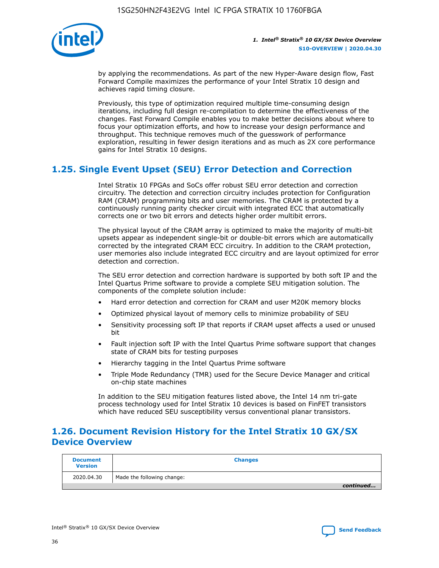

by applying the recommendations. As part of the new Hyper-Aware design flow, Fast Forward Compile maximizes the performance of your Intel Stratix 10 design and achieves rapid timing closure.

Previously, this type of optimization required multiple time-consuming design iterations, including full design re-compilation to determine the effectiveness of the changes. Fast Forward Compile enables you to make better decisions about where to focus your optimization efforts, and how to increase your design performance and throughput. This technique removes much of the guesswork of performance exploration, resulting in fewer design iterations and as much as 2X core performance gains for Intel Stratix 10 designs.

## **1.25. Single Event Upset (SEU) Error Detection and Correction**

Intel Stratix 10 FPGAs and SoCs offer robust SEU error detection and correction circuitry. The detection and correction circuitry includes protection for Configuration RAM (CRAM) programming bits and user memories. The CRAM is protected by a continuously running parity checker circuit with integrated ECC that automatically corrects one or two bit errors and detects higher order multibit errors.

The physical layout of the CRAM array is optimized to make the majority of multi-bit upsets appear as independent single-bit or double-bit errors which are automatically corrected by the integrated CRAM ECC circuitry. In addition to the CRAM protection, user memories also include integrated ECC circuitry and are layout optimized for error detection and correction.

The SEU error detection and correction hardware is supported by both soft IP and the Intel Quartus Prime software to provide a complete SEU mitigation solution. The components of the complete solution include:

- Hard error detection and correction for CRAM and user M20K memory blocks
- Optimized physical layout of memory cells to minimize probability of SEU
- Sensitivity processing soft IP that reports if CRAM upset affects a used or unused bit
- Fault injection soft IP with the Intel Quartus Prime software support that changes state of CRAM bits for testing purposes
- Hierarchy tagging in the Intel Quartus Prime software
- Triple Mode Redundancy (TMR) used for the Secure Device Manager and critical on-chip state machines

In addition to the SEU mitigation features listed above, the Intel 14 nm tri-gate process technology used for Intel Stratix 10 devices is based on FinFET transistors which have reduced SEU susceptibility versus conventional planar transistors.

## **1.26. Document Revision History for the Intel Stratix 10 GX/SX Device Overview**

| <b>Document</b><br><b>Version</b> | <b>Changes</b>             |
|-----------------------------------|----------------------------|
| 2020.04.30                        | Made the following change: |
|                                   | continued                  |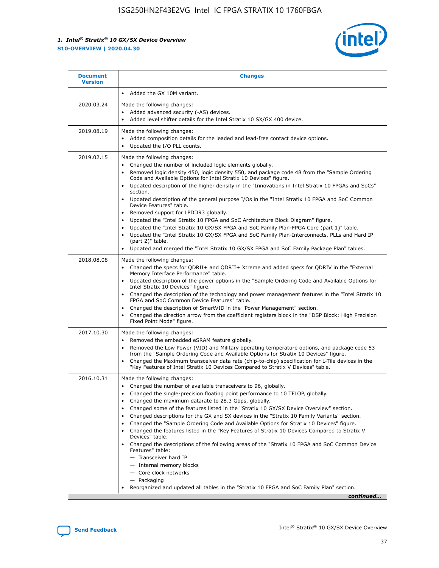

| <b>Document</b><br><b>Version</b> | <b>Changes</b>                                                                                                                                                                                                                                                                                                                                                                                                                                                                                                                                                                                                                                                                                                                                                                                                                                                                                                                                                                                              |
|-----------------------------------|-------------------------------------------------------------------------------------------------------------------------------------------------------------------------------------------------------------------------------------------------------------------------------------------------------------------------------------------------------------------------------------------------------------------------------------------------------------------------------------------------------------------------------------------------------------------------------------------------------------------------------------------------------------------------------------------------------------------------------------------------------------------------------------------------------------------------------------------------------------------------------------------------------------------------------------------------------------------------------------------------------------|
|                                   | Added the GX 10M variant.                                                                                                                                                                                                                                                                                                                                                                                                                                                                                                                                                                                                                                                                                                                                                                                                                                                                                                                                                                                   |
| 2020.03.24                        | Made the following changes:<br>Added advanced security (-AS) devices.<br>Added level shifter details for the Intel Stratix 10 SX/GX 400 device.                                                                                                                                                                                                                                                                                                                                                                                                                                                                                                                                                                                                                                                                                                                                                                                                                                                             |
| 2019.08.19                        | Made the following changes:<br>Added composition details for the leaded and lead-free contact device options.<br>$\bullet$<br>Updated the I/O PLL counts.                                                                                                                                                                                                                                                                                                                                                                                                                                                                                                                                                                                                                                                                                                                                                                                                                                                   |
| 2019.02.15                        | Made the following changes:<br>Changed the number of included logic elements globally.<br>$\bullet$<br>Removed logic density 450, logic density 550, and package code 48 from the "Sample Ordering<br>$\bullet$<br>Code and Available Options for Intel Stratix 10 Devices" figure.<br>Updated description of the higher density in the "Innovations in Intel Stratix 10 FPGAs and SoCs"<br>section.<br>Updated description of the general purpose I/Os in the "Intel Stratix 10 FPGA and SoC Common<br>$\bullet$<br>Device Features" table.<br>Removed support for LPDDR3 globally.<br>Updated the "Intel Stratix 10 FPGA and SoC Architecture Block Diagram" figure.<br>$\bullet$<br>Updated the "Intel Stratix 10 GX/SX FPGA and SoC Family Plan-FPGA Core (part 1)" table.<br>$\bullet$<br>Updated the "Intel Stratix 10 GX/SX FPGA and SoC Family Plan-Interconnects, PLLs and Hard IP<br>(part 2)" table.<br>Updated and merged the "Intel Stratix 10 GX/SX FPGA and SoC Family Package Plan" tables. |
| 2018.08.08                        | Made the following changes:<br>Changed the specs for QDRII+ and QDRII+ Xtreme and added specs for QDRIV in the "External<br>$\bullet$<br>Memory Interface Performance" table.<br>Updated description of the power options in the "Sample Ordering Code and Available Options for<br>Intel Stratix 10 Devices" figure.<br>Changed the description of the technology and power management features in the "Intel Stratix 10<br>FPGA and SoC Common Device Features" table.<br>Changed the description of SmartVID in the "Power Management" section.<br>Changed the direction arrow from the coefficient registers block in the "DSP Block: High Precision<br>$\bullet$<br>Fixed Point Mode" figure.                                                                                                                                                                                                                                                                                                          |
| 2017.10.30                        | Made the following changes:<br>Removed the embedded eSRAM feature globally.<br>$\bullet$<br>Removed the Low Power (VID) and Military operating temperature options, and package code 53<br>$\bullet$<br>from the "Sample Ordering Code and Available Options for Stratix 10 Devices" figure.<br>Changed the Maximum transceiver data rate (chip-to-chip) specification for L-Tile devices in the<br>"Key Features of Intel Stratix 10 Devices Compared to Stratix V Devices" table.                                                                                                                                                                                                                                                                                                                                                                                                                                                                                                                         |
| 2016.10.31                        | Made the following changes:<br>• Changed the number of available transceivers to 96, globally.<br>Changed the single-precision floating point performance to 10 TFLOP, globally.<br>Changed the maximum datarate to 28.3 Gbps, globally.<br>٠<br>Changed some of the features listed in the "Stratix 10 GX/SX Device Overview" section.<br>$\bullet$<br>Changed descriptions for the GX and SX devices in the "Stratix 10 Family Variants" section.<br>$\bullet$<br>Changed the "Sample Ordering Code and Available Options for Stratix 10 Devices" figure.<br>Changed the features listed in the "Key Features of Stratix 10 Devices Compared to Stratix V<br>Devices" table.<br>Changed the descriptions of the following areas of the "Stratix 10 FPGA and SoC Common Device<br>Features" table:<br>- Transceiver hard IP<br>- Internal memory blocks<br>- Core clock networks<br>- Packaging<br>Reorganized and updated all tables in the "Stratix 10 FPGA and SoC Family Plan" section.                |
|                                   | continued                                                                                                                                                                                                                                                                                                                                                                                                                                                                                                                                                                                                                                                                                                                                                                                                                                                                                                                                                                                                   |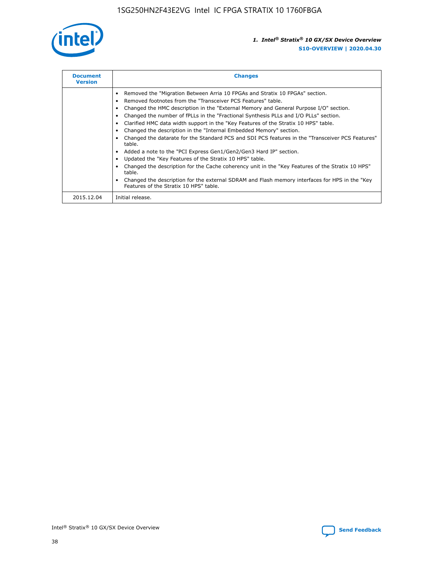

| <b>Document</b><br><b>Version</b> | <b>Changes</b>                                                                                                                                                                                                                                                                                                                                                                                                                                                                                                                                                                                                                                                                                                                                                                                                                                                                                                                                                                                     |
|-----------------------------------|----------------------------------------------------------------------------------------------------------------------------------------------------------------------------------------------------------------------------------------------------------------------------------------------------------------------------------------------------------------------------------------------------------------------------------------------------------------------------------------------------------------------------------------------------------------------------------------------------------------------------------------------------------------------------------------------------------------------------------------------------------------------------------------------------------------------------------------------------------------------------------------------------------------------------------------------------------------------------------------------------|
|                                   | Removed the "Migration Between Arria 10 FPGAs and Stratix 10 FPGAs" section.<br>Removed footnotes from the "Transceiver PCS Features" table.<br>Changed the HMC description in the "External Memory and General Purpose I/O" section.<br>Changed the number of fPLLs in the "Fractional Synthesis PLLs and I/O PLLs" section.<br>Clarified HMC data width support in the "Key Features of the Stratix 10 HPS" table.<br>Changed the description in the "Internal Embedded Memory" section.<br>Changed the datarate for the Standard PCS and SDI PCS features in the "Transceiver PCS Features"<br>table.<br>Added a note to the "PCI Express Gen1/Gen2/Gen3 Hard IP" section.<br>Updated the "Key Features of the Stratix 10 HPS" table.<br>Changed the description for the Cache coherency unit in the "Key Features of the Stratix 10 HPS"<br>table.<br>Changed the description for the external SDRAM and Flash memory interfaces for HPS in the "Key<br>Features of the Stratix 10 HPS" table. |
| 2015.12.04                        | Initial release.                                                                                                                                                                                                                                                                                                                                                                                                                                                                                                                                                                                                                                                                                                                                                                                                                                                                                                                                                                                   |